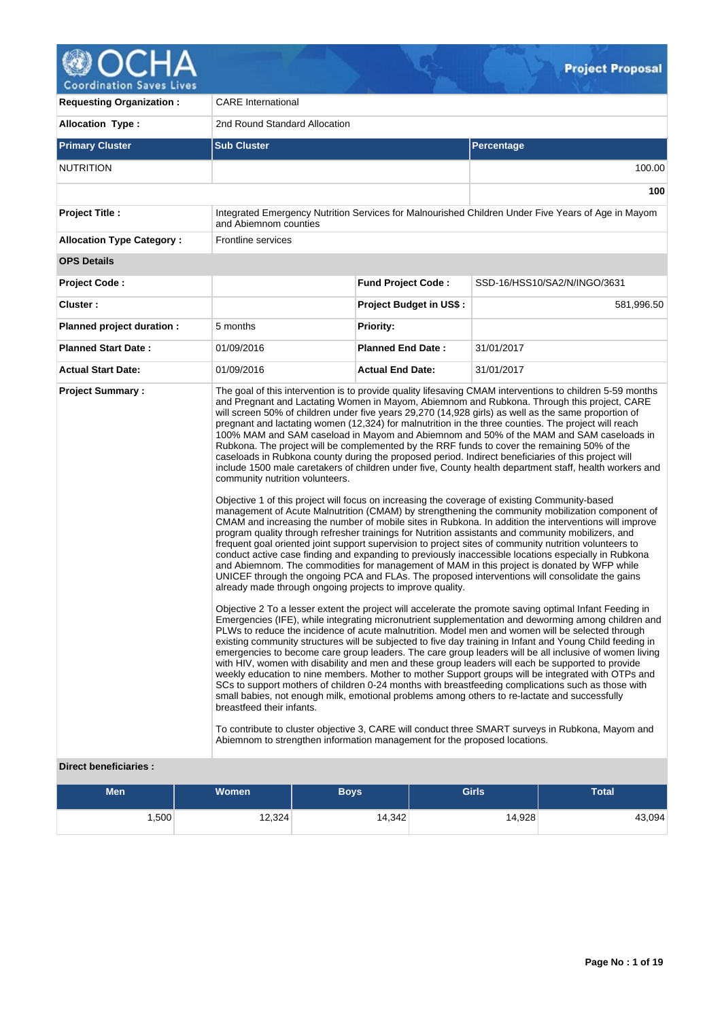

**Requesting Organization :** CARE International **Allocation Type :** 2nd Round Standard Allocation **Primary Cluster Sub Cluster Sub Cluster** Sub Cluster Sub Cluster Sub Cluster Sub Cluster Sub Cluster Sub Cluster NUTRITION 100.00 **100 Project Title :** Integrated Emergency Nutrition Services for Malnourished Children Under Five Years of Age in Mayom and Abiemnom counties **Allocation Type Category : Frontline services OPS Details Project Code : Fund Project Code :** SSD-16/HSS10/SA2/N/INGO/3631 **Cluster : Project Budget in US\$ :** 581,996.50 **Planned project duration :** 5 months **Planned Priority: Planned Start Date :** 01/09/2016 **Planned End Date :** 31/01/2017 **Actual Start Date:** 01/09/2016 **Actual End Date:** 31/01/2017 **Project Summary :** The goal of this intervention is to provide quality lifesaving CMAM interventions to children 5-59 months and Pregnant and Lactating Women in Mayom, Abiemnom and Rubkona. Through this project, CARE will screen 50% of children under five years 29,270 (14,928 girls) as well as the same proportion of pregnant and lactating women (12,324) for malnutrition in the three counties. The project will reach 100% MAM and SAM caseload in Mayom and Abiemnom and 50% of the MAM and SAM caseloads in Rubkona. The project will be complemented by the RRF funds to cover the remaining 50% of the caseloads in Rubkona county during the proposed period. Indirect beneficiaries of this project will include 1500 male caretakers of children under five, County health department staff, health workers and community nutrition volunteers. Objective 1 of this project will focus on increasing the coverage of existing Community-based management of Acute Malnutrition (CMAM) by strengthening the community mobilization component of CMAM and increasing the number of mobile sites in Rubkona. In addition the interventions will improve program quality through refresher trainings for Nutrition assistants and community mobilizers, and frequent goal oriented joint support supervision to project sites of community nutrition volunteers to conduct active case finding and expanding to previously inaccessible locations especially in Rubkona and Abiemnom. The commodities for management of MAM in this project is donated by WFP while UNICEF through the ongoing PCA and FLAs. The proposed interventions will consolidate the gains already made through ongoing projects to improve quality. Objective 2 To a lesser extent the project will accelerate the promote saving optimal Infant Feeding in Emergencies (IFE), while integrating micronutrient supplementation and deworming among children and PLWs to reduce the incidence of acute malnutrition. Model men and women will be selected through existing community structures will be subjected to five day training in Infant and Young Child feeding in emergencies to become care group leaders. The care group leaders will be all inclusive of women living with HIV, women with disability and men and these group leaders will each be supported to provide weekly education to nine members. Mother to mother Support groups will be integrated with OTPs and SCs to support mothers of children 0-24 months with breastfeeding complications such as those with small babies, not enough milk, emotional problems among others to re-lactate and successfully breastfeed their infants. To contribute to cluster objective 3, CARE will conduct three SMART surveys in Rubkona, Mayom and Abiemnom to strengthen information management for the proposed locations.

## **Direct beneficiaries :**

| <b>Men</b> | <b>Women</b> | Boys   | <b>Girls</b> | <b>Total</b> |  |
|------------|--------------|--------|--------------|--------------|--|
| ,500       | 12,324       | 14,342 | 14,928       | 43,094       |  |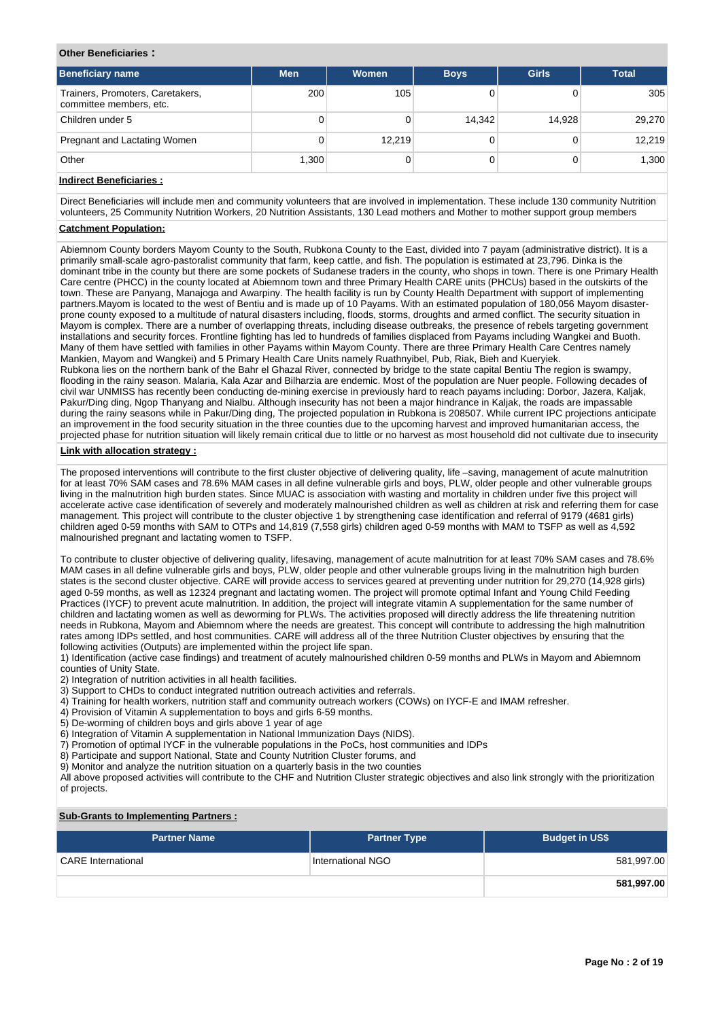#### **Other Beneficiaries :**

| <b>Beneficiary name</b>                                     | <b>Men</b> | <b>Women</b> | <b>Boys</b> | <b>Girls</b> | <b>Total</b> |
|-------------------------------------------------------------|------------|--------------|-------------|--------------|--------------|
| Trainers, Promoters, Caretakers,<br>committee members, etc. | 200        | 105          |             |              | 305          |
| Children under 5                                            | 0          |              | 14.342      | 14.928       | 29,270       |
| Pregnant and Lactating Women                                | 0          | 12.219       |             | 0            | 12.219       |
| Other                                                       | 1,300      |              |             |              | 1,300        |

## **Indirect Beneficiaries :**

Direct Beneficiaries will include men and community volunteers that are involved in implementation. These include 130 community Nutrition volunteers, 25 Community Nutrition Workers, 20 Nutrition Assistants, 130 Lead mothers and Mother to mother support group members

## **Catchment Population:**

Abiemnom County borders Mayom County to the South, Rubkona County to the East, divided into 7 payam (administrative district). It is a primarily small-scale agro-pastoralist community that farm, keep cattle, and fish. The population is estimated at 23,796. Dinka is the dominant tribe in the county but there are some pockets of Sudanese traders in the county, who shops in town. There is one Primary Health Care centre (PHCC) in the county located at Abiemnom town and three Primary Health CARE units (PHCUs) based in the outskirts of the town. These are Panyang, Manajoga and Awarpiny. The health facility is run by County Health Department with support of implementing partners.Mayom is located to the west of Bentiu and is made up of 10 Payams. With an estimated population of 180,056 Mayom disasterprone county exposed to a multitude of natural disasters including, floods, storms, droughts and armed conflict. The security situation in Mayom is complex. There are a number of overlapping threats, including disease outbreaks, the presence of rebels targeting government installations and security forces. Frontline fighting has led to hundreds of families displaced from Payams including Wangkei and Buoth. Many of them have settled with families in other Payams within Mayom County. There are three Primary Health Care Centres namely Mankien, Mayom and Wangkei) and 5 Primary Health Care Units namely Ruathnyibel, Pub, Riak, Bieh and Kueryiek. Rubkona lies on the northern bank of the Bahr el Ghazal River, connected by bridge to the state capital Bentiu The region is swampy, flooding in the rainy season. Malaria, Kala Azar and Bilharzia are endemic. Most of the population are Nuer people. Following decades of civil war UNMISS has recently been conducting de-mining exercise in previously hard to reach payams including: Dorbor, Jazera, Kaljak, Pakur/Ding ding, Ngop Thanyang and Nialbu. Although insecurity has not been a major hindrance in Kaliak, the roads are impassable during the rainy seasons while in Pakur/Ding ding, The projected population in Rubkona is 208507. While current IPC projections anticipate an improvement in the food security situation in the three counties due to the upcoming harvest and improved humanitarian access, the projected phase for nutrition situation will likely remain critical due to little or no harvest as most household did not cultivate due to insecurity

## **Link with allocation strategy :**

The proposed interventions will contribute to the first cluster objective of delivering quality, life –saving, management of acute malnutrition for at least 70% SAM cases and 78.6% MAM cases in all define vulnerable girls and boys, PLW, older people and other vulnerable groups living in the malnutrition high burden states. Since MUAC is association with wasting and mortality in children under five this project will accelerate active case identification of severely and moderately malnourished children as well as children at risk and referring them for case management. This project will contribute to the cluster objective 1 by strengthening case identification and referral of 9179 (4681 girls) children aged 0-59 months with SAM to OTPs and 14,819 (7,558 girls) children aged 0-59 months with MAM to TSFP as well as 4,592 malnourished pregnant and lactating women to TSFP.

To contribute to cluster objective of delivering quality, lifesaving, management of acute malnutrition for at least 70% SAM cases and 78.6% MAM cases in all define vulnerable girls and boys, PLW, older people and other vulnerable groups living in the malnutrition high burden states is the second cluster objective. CARE will provide access to services geared at preventing under nutrition for 29,270 (14,928 girls) aged 0-59 months, as well as 12324 pregnant and lactating women. The project will promote optimal Infant and Young Child Feeding Practices (IYCF) to prevent acute malnutrition. In addition, the project will integrate vitamin A supplementation for the same number of children and lactating women as well as deworming for PLWs. The activities proposed will directly address the life threatening nutrition needs in Rubkona, Mayom and Abiemnom where the needs are greatest. This concept will contribute to addressing the high malnutrition rates among IDPs settled, and host communities. CARE will address all of the three Nutrition Cluster objectives by ensuring that the following activities (Outputs) are implemented within the project life span.

1) Identification (active case findings) and treatment of acutely malnourished children 0-59 months and PLWs in Mayom and Abiemnom counties of Unity State.

2) Integration of nutrition activities in all health facilities.

- 3) Support to CHDs to conduct integrated nutrition outreach activities and referrals.
- 4) Training for health workers, nutrition staff and community outreach workers (COWs) on IYCF-E and IMAM refresher.
- 4) Provision of Vitamin A supplementation to boys and girls 6-59 months.
- 5) De-worming of children boys and girls above 1 year of age
- 6) Integration of Vitamin A supplementation in National Immunization Days (NIDS).
- 7) Promotion of optimal IYCF in the vulnerable populations in the PoCs, host communities and IDPs
- 8) Participate and support National, State and County Nutrition Cluster forums, and
- 9) Monitor and analyze the nutrition situation on a quarterly basis in the two counties

All above proposed activities will contribute to the CHF and Nutrition Cluster strategic objectives and also link strongly with the prioritization of projects.

## **Sub-Grants to Implementing Partners :**

| <b>Partner Name</b>       | <b>Partner Type</b> | <b>Budget in US\$</b> |
|---------------------------|---------------------|-----------------------|
| <b>CARE</b> International | International NGO   | 581,997.00            |
|                           |                     | 581,997.00            |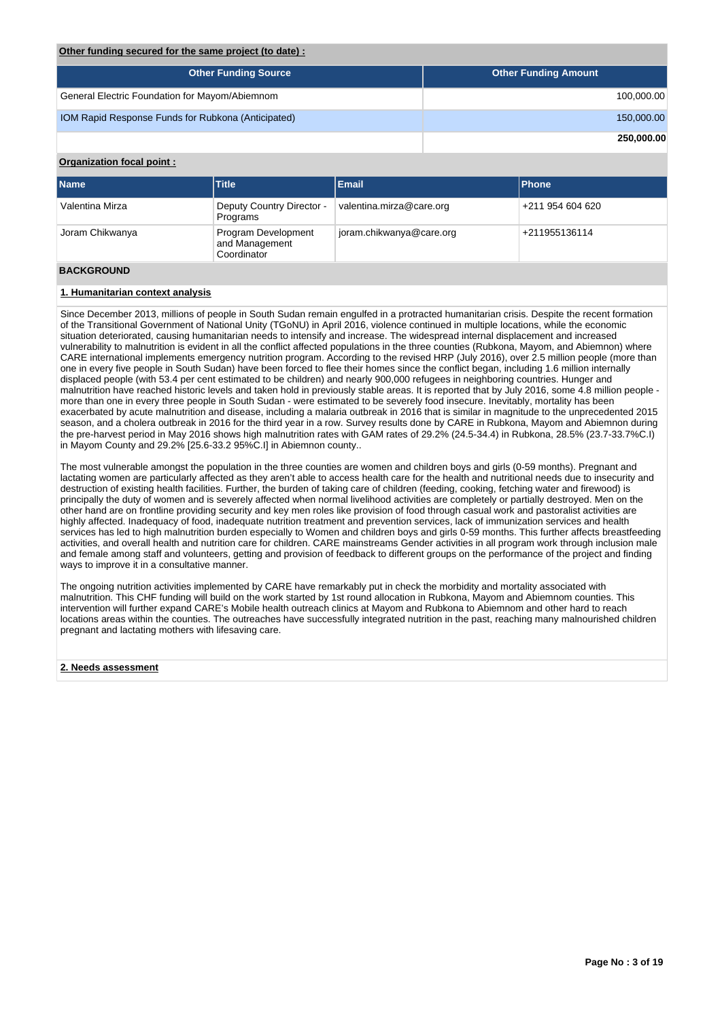#### **Other funding secured for the same project (to date) :**

| <b>Other Funding Source</b>                        | <b>Other Funding Amount</b> |
|----------------------------------------------------|-----------------------------|
| General Electric Foundation for Mayom/Abiemnom     | 100,000.00                  |
| IOM Rapid Response Funds for Rubkona (Anticipated) | 150,000.00                  |
|                                                    | 250,000.00                  |

## **Organization focal point :**

| <b>Name</b>     | <b>Title</b>                                         | <b>Email</b>             | <b>Phone</b>     |
|-----------------|------------------------------------------------------|--------------------------|------------------|
| Valentina Mirza | Deputy Country Director -<br>Programs                | valentina.mirza@care.org | +211 954 604 620 |
| Joram Chikwanya | Program Development<br>and Management<br>Coordinator | joram.chikwanya@care.org | +211955136114    |
|                 |                                                      |                          |                  |

## **BACKGROUND**

## **1. Humanitarian context analysis**

Since December 2013, millions of people in South Sudan remain engulfed in a protracted humanitarian crisis. Despite the recent formation of the Transitional Government of National Unity (TGoNU) in April 2016, violence continued in multiple locations, while the economic situation deteriorated, causing humanitarian needs to intensify and increase. The widespread internal displacement and increased vulnerability to malnutrition is evident in all the conflict affected populations in the three counties (Rubkona, Mayom, and Abiemnon) where CARE international implements emergency nutrition program. According to the revised HRP (July 2016), over 2.5 million people (more than one in every five people in South Sudan) have been forced to flee their homes since the conflict began, including 1.6 million internally displaced people (with 53.4 per cent estimated to be children) and nearly 900,000 refugees in neighboring countries. Hunger and malnutrition have reached historic levels and taken hold in previously stable areas. It is reported that by July 2016, some 4.8 million people more than one in every three people in South Sudan - were estimated to be severely food insecure. Inevitably, mortality has been exacerbated by acute malnutrition and disease, including a malaria outbreak in 2016 that is similar in magnitude to the unprecedented 2015 season, and a cholera outbreak in 2016 for the third year in a row. Survey results done by CARE in Rubkona, Mayom and Abiemnon during the pre-harvest period in May 2016 shows high malnutrition rates with GAM rates of 29.2% (24.5-34.4) in Rubkona, 28.5% (23.7-33.7%C.I) in Mayom County and 29.2% [25.6-33.2 95%C.I] in Abiemnon county..

The most vulnerable amongst the population in the three counties are women and children boys and girls (0-59 months). Pregnant and lactating women are particularly affected as they aren't able to access health care for the health and nutritional needs due to insecurity and destruction of existing health facilities. Further, the burden of taking care of children (feeding, cooking, fetching water and firewood) is principally the duty of women and is severely affected when normal livelihood activities are completely or partially destroyed. Men on the other hand are on frontline providing security and key men roles like provision of food through casual work and pastoralist activities are highly affected. Inadequacy of food, inadequate nutrition treatment and prevention services, lack of immunization services and health services has led to high malnutrition burden especially to Women and children boys and girls 0-59 months. This further affects breastfeeding activities, and overall health and nutrition care for children. CARE mainstreams Gender activities in all program work through inclusion male and female among staff and volunteers, getting and provision of feedback to different groups on the performance of the project and finding ways to improve it in a consultative manner.

The ongoing nutrition activities implemented by CARE have remarkably put in check the morbidity and mortality associated with malnutrition. This CHF funding will build on the work started by 1st round allocation in Rubkona, Mayom and Abiemnom counties. This intervention will further expand CARE's Mobile health outreach clinics at Mayom and Rubkona to Abiemnom and other hard to reach locations areas within the counties. The outreaches have successfully integrated nutrition in the past, reaching many malnourished children pregnant and lactating mothers with lifesaving care.

#### **2. Needs assessment**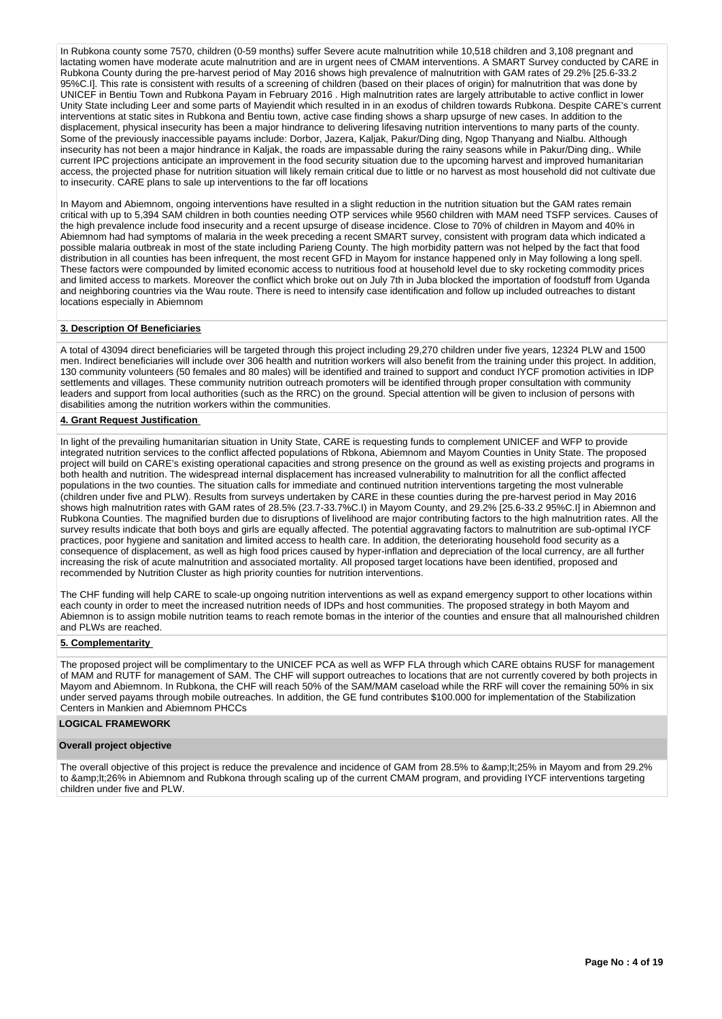In Rubkona county some 7570, children (0-59 months) suffer Severe acute malnutrition while 10,518 children and 3,108 pregnant and lactating women have moderate acute malnutrition and are in urgent nees of CMAM interventions. A SMART Survey conducted by CARE in Rubkona County during the pre-harvest period of May 2016 shows high prevalence of malnutrition with GAM rates of 29.2% [25.6-33.2 95%C.I]. This rate is consistent with results of a screening of children (based on their places of origin) for malnutrition that was done by UNICEF in Bentiu Town and Rubkona Payam in February 2016 . High malnutrition rates are largely attributable to active conflict in lower Unity State including Leer and some parts of Mayiendit which resulted in in an exodus of children towards Rubkona. Despite CARE's current interventions at static sites in Rubkona and Bentiu town, active case finding shows a sharp upsurge of new cases. In addition to the displacement, physical insecurity has been a major hindrance to delivering lifesaving nutrition interventions to many parts of the county. Some of the previously inaccessible payams include: Dorbor, Jazera, Kaljak, Pakur/Ding ding, Ngop Thanyang and Nialbu. Although insecurity has not been a major hindrance in Kaljak, the roads are impassable during the rainy seasons while in Pakur/Ding ding,. While current IPC projections anticipate an improvement in the food security situation due to the upcoming harvest and improved humanitarian access, the projected phase for nutrition situation will likely remain critical due to little or no harvest as most household did not cultivate due to insecurity. CARE plans to sale up interventions to the far off locations

In Mayom and Abiemnom, ongoing interventions have resulted in a slight reduction in the nutrition situation but the GAM rates remain critical with up to 5,394 SAM children in both counties needing OTP services while 9560 children with MAM need TSFP services. Causes of the high prevalence include food insecurity and a recent upsurge of disease incidence. Close to 70% of children in Mayom and 40% in Abiemnom had had symptoms of malaria in the week preceding a recent SMART survey, consistent with program data which indicated a possible malaria outbreak in most of the state including Parieng County. The high morbidity pattern was not helped by the fact that food distribution in all counties has been infrequent, the most recent GFD in Mayom for instance happened only in May following a long spell. These factors were compounded by limited economic access to nutritious food at household level due to sky rocketing commodity prices and limited access to markets. Moreover the conflict which broke out on July 7th in Juba blocked the importation of foodstuff from Uganda and neighboring countries via the Wau route. There is need to intensify case identification and follow up included outreaches to distant locations especially in Abiemnom

#### **3. Description Of Beneficiaries**

A total of 43094 direct beneficiaries will be targeted through this project including 29,270 children under five years, 12324 PLW and 1500 men. Indirect beneficiaries will include over 306 health and nutrition workers will also benefit from the training under this project. In addition, 130 community volunteers (50 females and 80 males) will be identified and trained to support and conduct IYCF promotion activities in IDP settlements and villages. These community nutrition outreach promoters will be identified through proper consultation with community leaders and support from local authorities (such as the RRC) on the ground. Special attention will be given to inclusion of persons with disabilities among the nutrition workers within the communities.

#### **4. Grant Request Justification**

In light of the prevailing humanitarian situation in Unity State, CARE is requesting funds to complement UNICEF and WFP to provide integrated nutrition services to the conflict affected populations of Rbkona, Abiemnom and Mayom Counties in Unity State. The proposed project will build on CARE's existing operational capacities and strong presence on the ground as well as existing projects and programs in both health and nutrition. The widespread internal displacement has increased vulnerability to malnutrition for all the conflict affected populations in the two counties. The situation calls for immediate and continued nutrition interventions targeting the most vulnerable (children under five and PLW). Results from surveys undertaken by CARE in these counties during the pre-harvest period in May 2016 shows high malnutrition rates with GAM rates of 28.5% (23.7-33.7%C.I) in Mayom County, and 29.2% [25.6-33.2 95%C.I] in Abiemnon and Rubkona Counties. The magnified burden due to disruptions of livelihood are major contributing factors to the high malnutrition rates. All the survey results indicate that both boys and girls are equally affected. The potential aggravating factors to malnutrition are sub-optimal IYCF practices, poor hygiene and sanitation and limited access to health care. In addition, the deteriorating household food security as a consequence of displacement, as well as high food prices caused by hyper-inflation and depreciation of the local currency, are all further increasing the risk of acute malnutrition and associated mortality. All proposed target locations have been identified, proposed and recommended by Nutrition Cluster as high priority counties for nutrition interventions.

The CHF funding will help CARE to scale-up ongoing nutrition interventions as well as expand emergency support to other locations within each county in order to meet the increased nutrition needs of IDPs and host communities. The proposed strategy in both Mayom and Abiemnon is to assign mobile nutrition teams to reach remote bomas in the interior of the counties and ensure that all malnourished children and PLWs are reached.

#### **5. Complementarity**

The proposed project will be complimentary to the UNICEF PCA as well as WFP FLA through which CARE obtains RUSF for management of MAM and RUTF for management of SAM. The CHF will support outreaches to locations that are not currently covered by both projects in Mayom and Abiemnom. In Rubkona, the CHF will reach 50% of the SAM/MAM caseload while the RRF will cover the remaining 50% in six under served payams through mobile outreaches. In addition, the GE fund contributes \$100.000 for implementation of the Stabilization Centers in Mankien and Abiemnom PHCCs

## **LOGICAL FRAMEWORK**

#### **Overall project objective**

The overall objective of this project is reduce the prevalence and incidence of GAM from 28.5% to <25% in Mayom and from 29.2% to &amp:lt:26% in Abiemnom and Rubkona through scaling up of the current CMAM program, and providing IYCF interventions targeting children under five and PLW.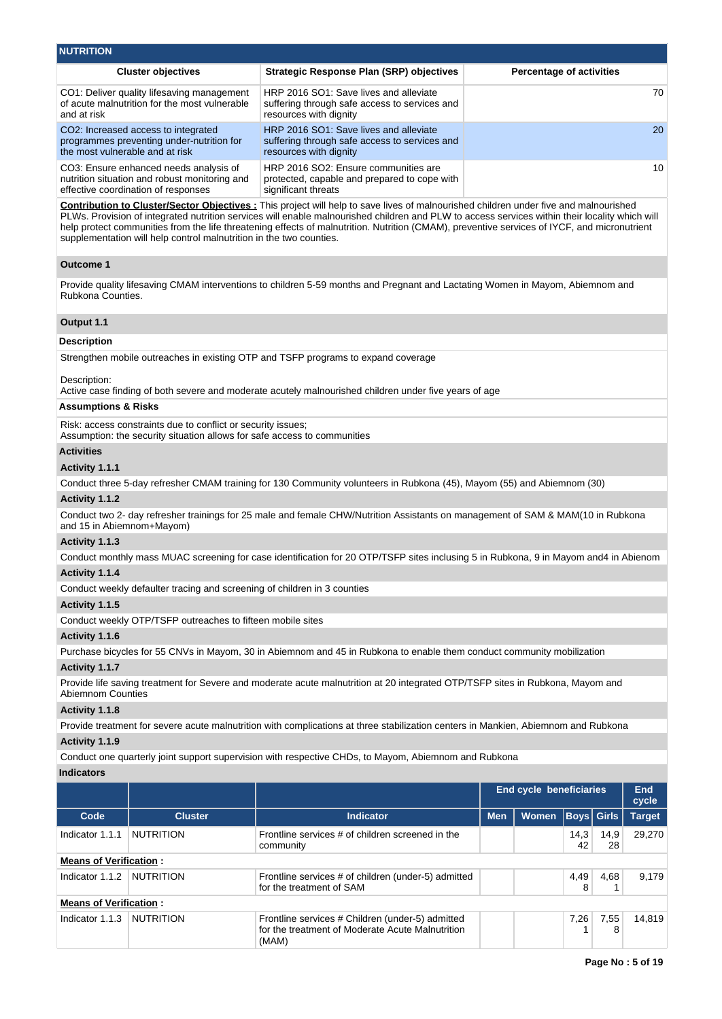| <b>NUTRITION</b>                                                                                                                                                      |                                                                                                                                          |                                                                                                                                                                                                                                                                                                                                                                                                                                               |                                             |                     |  |  |  |
|-----------------------------------------------------------------------------------------------------------------------------------------------------------------------|------------------------------------------------------------------------------------------------------------------------------------------|-----------------------------------------------------------------------------------------------------------------------------------------------------------------------------------------------------------------------------------------------------------------------------------------------------------------------------------------------------------------------------------------------------------------------------------------------|---------------------------------------------|---------------------|--|--|--|
|                                                                                                                                                                       | <b>Cluster objectives</b>                                                                                                                | <b>Strategic Response Plan (SRP) objectives</b>                                                                                                                                                                                                                                                                                                                                                                                               | <b>Percentage of activities</b>             |                     |  |  |  |
| and at risk                                                                                                                                                           | CO1: Deliver quality lifesaving management<br>of acute malnutrition for the most vulnerable                                              | HRP 2016 SO1: Save lives and alleviate<br>suffering through safe access to services and<br>resources with dignity                                                                                                                                                                                                                                                                                                                             |                                             | 70                  |  |  |  |
| the most vulnerable and at risk                                                                                                                                       | CO2: Increased access to integrated<br>programmes preventing under-nutrition for                                                         | HRP 2016 SO1: Save lives and alleviate<br>suffering through safe access to services and<br>resources with dignity                                                                                                                                                                                                                                                                                                                             |                                             | 20                  |  |  |  |
|                                                                                                                                                                       | CO3: Ensure enhanced needs analysis of<br>nutrition situation and robust monitoring and<br>effective coordination of responses           | HRP 2016 SO2: Ensure communities are<br>protected, capable and prepared to cope with<br>significant threats                                                                                                                                                                                                                                                                                                                                   |                                             | 10                  |  |  |  |
|                                                                                                                                                                       | supplementation will help control malnutrition in the two counties.                                                                      | <b>Contribution to Cluster/Sector Objectives:</b> This project will help to save lives of malnourished children under five and malnourished<br>PLWs. Provision of integrated nutrition services will enable malnourished children and PLW to access services within their locality which will<br>help protect communities from the life threatening effects of malnutrition. Nutrition (CMAM), preventive services of IYCF, and micronutrient |                                             |                     |  |  |  |
| <b>Outcome 1</b>                                                                                                                                                      |                                                                                                                                          |                                                                                                                                                                                                                                                                                                                                                                                                                                               |                                             |                     |  |  |  |
| Rubkona Counties.                                                                                                                                                     |                                                                                                                                          | Provide quality lifesaving CMAM interventions to children 5-59 months and Pregnant and Lactating Women in Mayom, Abiemnom and                                                                                                                                                                                                                                                                                                                 |                                             |                     |  |  |  |
| Output 1.1                                                                                                                                                            |                                                                                                                                          |                                                                                                                                                                                                                                                                                                                                                                                                                                               |                                             |                     |  |  |  |
| <b>Description</b>                                                                                                                                                    |                                                                                                                                          |                                                                                                                                                                                                                                                                                                                                                                                                                                               |                                             |                     |  |  |  |
|                                                                                                                                                                       |                                                                                                                                          | Strengthen mobile outreaches in existing OTP and TSFP programs to expand coverage                                                                                                                                                                                                                                                                                                                                                             |                                             |                     |  |  |  |
| Description:                                                                                                                                                          |                                                                                                                                          | Active case finding of both severe and moderate acutely malnourished children under five years of age                                                                                                                                                                                                                                                                                                                                         |                                             |                     |  |  |  |
| <b>Assumptions &amp; Risks</b>                                                                                                                                        |                                                                                                                                          |                                                                                                                                                                                                                                                                                                                                                                                                                                               |                                             |                     |  |  |  |
|                                                                                                                                                                       | Risk: access constraints due to conflict or security issues;<br>Assumption: the security situation allows for safe access to communities |                                                                                                                                                                                                                                                                                                                                                                                                                                               |                                             |                     |  |  |  |
| <b>Activities</b>                                                                                                                                                     |                                                                                                                                          |                                                                                                                                                                                                                                                                                                                                                                                                                                               |                                             |                     |  |  |  |
| Activity 1.1.1                                                                                                                                                        |                                                                                                                                          |                                                                                                                                                                                                                                                                                                                                                                                                                                               |                                             |                     |  |  |  |
|                                                                                                                                                                       |                                                                                                                                          | Conduct three 5-day refresher CMAM training for 130 Community volunteers in Rubkona (45), Mayom (55) and Abiemnom (30)                                                                                                                                                                                                                                                                                                                        |                                             |                     |  |  |  |
| Activity 1.1.2                                                                                                                                                        |                                                                                                                                          |                                                                                                                                                                                                                                                                                                                                                                                                                                               |                                             |                     |  |  |  |
| and 15 in Abiemnom+Mayom)                                                                                                                                             |                                                                                                                                          | Conduct two 2- day refresher trainings for 25 male and female CHW/Nutrition Assistants on management of SAM & MAM(10 in Rubkona                                                                                                                                                                                                                                                                                                               |                                             |                     |  |  |  |
| Activity 1.1.3                                                                                                                                                        |                                                                                                                                          |                                                                                                                                                                                                                                                                                                                                                                                                                                               |                                             |                     |  |  |  |
|                                                                                                                                                                       |                                                                                                                                          | Conduct monthly mass MUAC screening for case identification for 20 OTP/TSFP sites inclusing 5 in Rubkona, 9 in Mayom and4 in Abienom                                                                                                                                                                                                                                                                                                          |                                             |                     |  |  |  |
| Activity 1.1.4                                                                                                                                                        |                                                                                                                                          |                                                                                                                                                                                                                                                                                                                                                                                                                                               |                                             |                     |  |  |  |
|                                                                                                                                                                       | Conduct weekly defaulter tracing and screening of children in 3 counties                                                                 |                                                                                                                                                                                                                                                                                                                                                                                                                                               |                                             |                     |  |  |  |
| Activity 1.1.5                                                                                                                                                        |                                                                                                                                          |                                                                                                                                                                                                                                                                                                                                                                                                                                               |                                             |                     |  |  |  |
|                                                                                                                                                                       | Conduct weekly OTP/TSFP outreaches to fifteen mobile sites                                                                               |                                                                                                                                                                                                                                                                                                                                                                                                                                               |                                             |                     |  |  |  |
| Activity 1.1.6                                                                                                                                                        |                                                                                                                                          |                                                                                                                                                                                                                                                                                                                                                                                                                                               |                                             |                     |  |  |  |
|                                                                                                                                                                       |                                                                                                                                          | Purchase bicycles for 55 CNVs in Mayom, 30 in Abiemnom and 45 in Rubkona to enable them conduct community mobilization                                                                                                                                                                                                                                                                                                                        |                                             |                     |  |  |  |
| Activity 1.1.7<br>Provide life saving treatment for Severe and moderate acute malnutrition at 20 integrated OTP/TSFP sites in Rubkona, Mayom and<br>Abiemnom Counties |                                                                                                                                          |                                                                                                                                                                                                                                                                                                                                                                                                                                               |                                             |                     |  |  |  |
| Activity 1.1.8                                                                                                                                                        |                                                                                                                                          |                                                                                                                                                                                                                                                                                                                                                                                                                                               |                                             |                     |  |  |  |
| Provide treatment for severe acute malnutrition with complications at three stabilization centers in Mankien, Abiemnom and Rubkona                                    |                                                                                                                                          |                                                                                                                                                                                                                                                                                                                                                                                                                                               |                                             |                     |  |  |  |
| Activity 1.1.9                                                                                                                                                        |                                                                                                                                          |                                                                                                                                                                                                                                                                                                                                                                                                                                               |                                             |                     |  |  |  |
| Conduct one quarterly joint support supervision with respective CHDs, to Mayom, Abiemnom and Rubkona                                                                  |                                                                                                                                          |                                                                                                                                                                                                                                                                                                                                                                                                                                               |                                             |                     |  |  |  |
| <b>Indicators</b>                                                                                                                                                     |                                                                                                                                          |                                                                                                                                                                                                                                                                                                                                                                                                                                               |                                             |                     |  |  |  |
|                                                                                                                                                                       |                                                                                                                                          |                                                                                                                                                                                                                                                                                                                                                                                                                                               | <b>End cycle beneficiaries</b>              | <b>End</b><br>cycle |  |  |  |
| Code                                                                                                                                                                  | <b>Cluster</b>                                                                                                                           | Indicator                                                                                                                                                                                                                                                                                                                                                                                                                                     | Women   Boys   Girls   Target<br><b>Men</b> |                     |  |  |  |

| <b>Means of Verification</b> |  |
|------------------------------|--|

|                               |  | community                                                                                                     |  | 42   | 28   |        |  |  |
|-------------------------------|--|---------------------------------------------------------------------------------------------------------------|--|------|------|--------|--|--|
| <b>Means of Verification:</b> |  |                                                                                                               |  |      |      |        |  |  |
| Indicator 1.1.2 NUTRITION     |  | Frontline services # of children (under-5) admitted<br>for the treatment of SAM                               |  | 4,49 | 4.68 | 9.179  |  |  |
| <b>Means of Verification:</b> |  |                                                                                                               |  |      |      |        |  |  |
| Indicator 1.1.3   NUTRITION   |  | Frontline services # Children (under-5) admitted<br>for the treatment of Moderate Acute Malnutrition<br>(MAM) |  | 7,26 | 7,55 | 14.819 |  |  |

Indicator 1.1.1 NUTRITION Frontline services # of children screened in the

14,3

14,9

29,270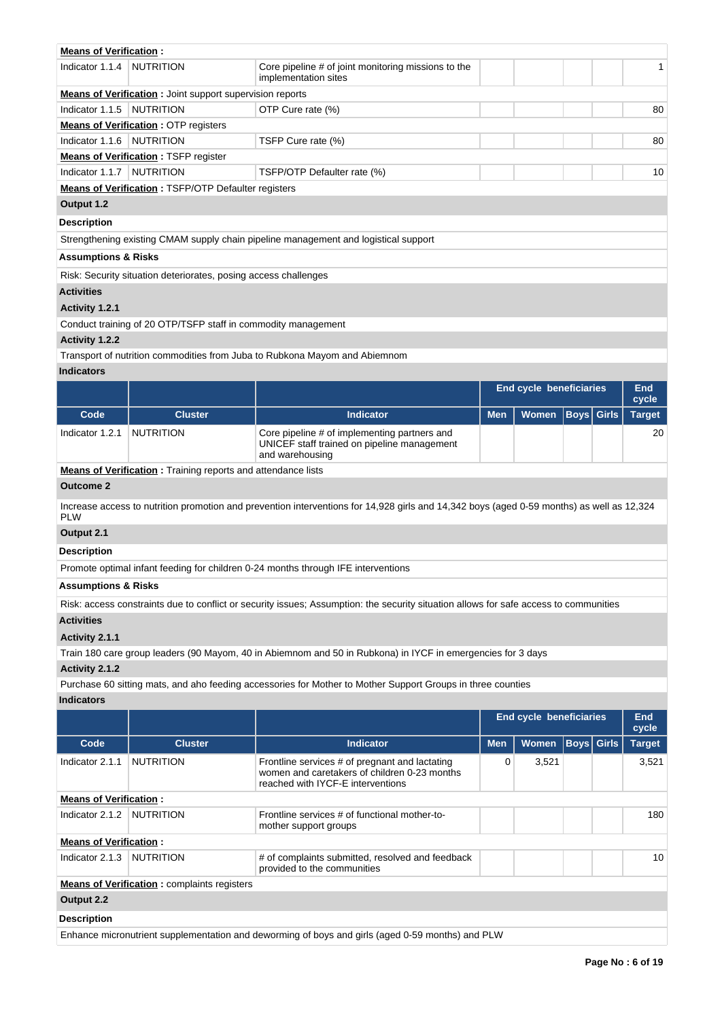| <b>Means of Verification:</b>  |                                                                  |                                                                                     |  |    |
|--------------------------------|------------------------------------------------------------------|-------------------------------------------------------------------------------------|--|----|
| Indicator 1.1.4                | <b>NUTRITION</b>                                                 | Core pipeline # of joint monitoring missions to the<br>implementation sites         |  | 1  |
|                                | <b>Means of Verification</b> : Joint support supervision reports |                                                                                     |  |    |
| Indicator 1.1.5                | <b>NUTRITION</b>                                                 | OTP Cure rate (%)                                                                   |  | 80 |
|                                | <b>Means of Verification: OTP registers</b>                      |                                                                                     |  |    |
| Indicator 1.1.6                | <b>NUTRITION</b>                                                 | TSFP Cure rate (%)                                                                  |  | 80 |
|                                | <b>Means of Verification: TSFP register</b>                      |                                                                                     |  |    |
| Indicator 1.1.7                | <b>NUTRITION</b>                                                 | TSFP/OTP Defaulter rate (%)                                                         |  | 10 |
|                                | <b>Means of Verification: TSFP/OTP Defaulter registers</b>       |                                                                                     |  |    |
| Output 1.2                     |                                                                  |                                                                                     |  |    |
| <b>Description</b>             |                                                                  |                                                                                     |  |    |
|                                |                                                                  | Strengthening existing CMAM supply chain pipeline management and logistical support |  |    |
| <b>Assumptions &amp; Risks</b> |                                                                  |                                                                                     |  |    |
|                                | Risk: Security situation deteriorates, posing access challenges  |                                                                                     |  |    |
| <b>Activities</b>              |                                                                  |                                                                                     |  |    |
| Activity 1.2.1                 |                                                                  |                                                                                     |  |    |
|                                | Conduct training of 20 OTP/TSFP staff in commodity management    |                                                                                     |  |    |
| Activity 1.2.2                 |                                                                  |                                                                                     |  |    |
|                                |                                                                  | Transport of putrition commodition from Jubo to Publicano Mayom and Abiampom        |  |    |

Transport of nutrition commodities from Juba to Rubkona Mayom and Abiemnom

## **Indicators**

|                 |                |                                                                                                                | <b>End cycle beneficiaries</b> |                               |  | End<br>cycle |    |
|-----------------|----------------|----------------------------------------------------------------------------------------------------------------|--------------------------------|-------------------------------|--|--------------|----|
| Code            | <b>Cluster</b> | <b>Indicator</b>                                                                                               | <b>Men</b>                     | Women   Boys   Girls   Target |  |              |    |
| Indicator 1.2.1 | NUTRITION      | Core pipeline # of implementing partners and<br>UNICEF staff trained on pipeline management<br>and warehousing |                                |                               |  |              | 20 |

**Means of Verification :** Training reports and attendance lists

## **Outcome 2**

Increase access to nutrition promotion and prevention interventions for 14,928 girls and 14,342 boys (aged 0-59 months) as well as 12,324 PLW

# **Output 2.1**

**Description**

Promote optimal infant feeding for children 0-24 months through IFE interventions

## **Assumptions & Risks**

Risk: access constraints due to conflict or security issues; Assumption: the security situation allows for safe access to communities

## **Activities**

## **Activity 2.1.1**

Train 180 care group leaders (90 Mayom, 40 in Abiemnom and 50 in Rubkona) in IYCF in emergencies for 3 days

## **Activity 2.1.2**

Purchase 60 sitting mats, and aho feeding accessories for Mother to Mother Support Groups in three counties

## **Indicators**

|                               |                                                                                                  |                                                                                                                                     | <b>End cycle beneficiaries</b> |              |  | End<br>cycle |               |  |  |
|-------------------------------|--------------------------------------------------------------------------------------------------|-------------------------------------------------------------------------------------------------------------------------------------|--------------------------------|--------------|--|--------------|---------------|--|--|
| Code                          | <b>Cluster</b>                                                                                   | <b>Indicator</b>                                                                                                                    | <b>Men</b>                     | <b>Women</b> |  | Boys   Girls | <b>Target</b> |  |  |
| Indicator 2.1.1               | <b>NUTRITION</b>                                                                                 | Frontline services # of pregnant and lactating<br>women and caretakers of children 0-23 months<br>reached with IYCF-E interventions | O                              | 3,521        |  |              | 3,521         |  |  |
| <b>Means of Verification:</b> |                                                                                                  |                                                                                                                                     |                                |              |  |              |               |  |  |
| Indicator 2.1.2               | NUTRITION                                                                                        | Frontline services # of functional mother-to-<br>mother support groups                                                              |                                |              |  |              | 180           |  |  |
| <b>Means of Verification:</b> |                                                                                                  |                                                                                                                                     |                                |              |  |              |               |  |  |
| Indicator 2.1.3               | NUTRITION                                                                                        | # of complaints submitted, resolved and feedback<br>provided to the communities                                                     |                                |              |  |              | 10            |  |  |
|                               | <b>Means of Verification:</b> complaints registers                                               |                                                                                                                                     |                                |              |  |              |               |  |  |
| Output 2.2                    |                                                                                                  |                                                                                                                                     |                                |              |  |              |               |  |  |
| <b>Description</b>            |                                                                                                  |                                                                                                                                     |                                |              |  |              |               |  |  |
|                               | Enhance micronutrient supplementation and deworming of boys and girls (aged 0-59 months) and PLW |                                                                                                                                     |                                |              |  |              |               |  |  |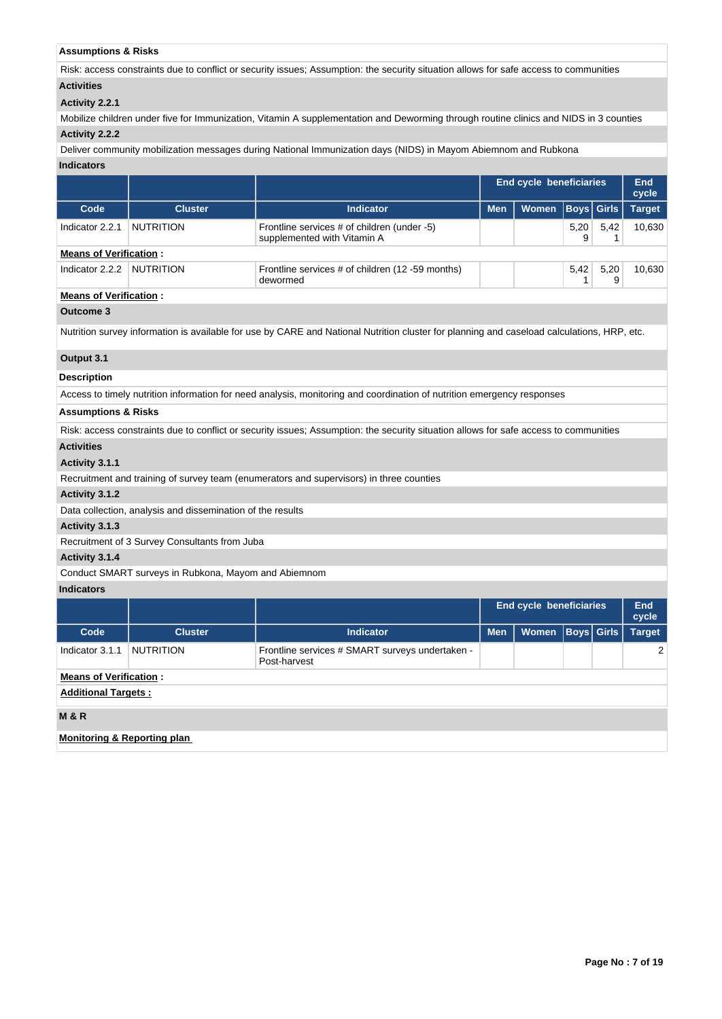## **Assumptions & Risks**

Risk: access constraints due to conflict or security issues; Assumption: the security situation allows for safe access to communities **Activities**

## **Activity 2.2.1**

Mobilize children under five for Immunization, Vitamin A supplementation and Deworming through routine clinics and NIDS in 3 counties

# **Activity 2.2.2**

Deliver community mobilization messages during National Immunization days (NIDS) in Mayom Abiemnom and Rubkona

## **Indicators**

|                                        |                                                            |                                                                                                                                            | End cycle beneficiaries |              |                   |              | End<br>cycle  |
|----------------------------------------|------------------------------------------------------------|--------------------------------------------------------------------------------------------------------------------------------------------|-------------------------|--------------|-------------------|--------------|---------------|
| Code                                   | <b>Cluster</b>                                             | <b>Indicator</b>                                                                                                                           | <b>Men</b>              | <b>Women</b> | <b>Boys</b>       | <b>Girls</b> | <b>Target</b> |
| Indicator 2.2.1                        | <b>NUTRITION</b>                                           | Frontline services # of children (under -5)<br>supplemented with Vitamin A                                                                 |                         |              | 5,20<br>9         | 5,42<br>1    | 10,630        |
| <b>Means of Verification:</b>          |                                                            |                                                                                                                                            |                         |              |                   |              |               |
| Indicator 2.2.2                        | <b>NUTRITION</b>                                           | Frontline services # of children (12 -59 months)<br>dewormed                                                                               |                         |              | 5,42<br>1         | 5,20<br>9    | 10,630        |
| <b>Means of Verification:</b>          |                                                            |                                                                                                                                            |                         |              |                   |              |               |
| <b>Outcome 3</b>                       |                                                            |                                                                                                                                            |                         |              |                   |              |               |
|                                        |                                                            | Nutrition survey information is available for use by CARE and National Nutrition cluster for planning and caseload calculations, HRP, etc. |                         |              |                   |              |               |
| Output 3.1                             |                                                            |                                                                                                                                            |                         |              |                   |              |               |
| <b>Description</b>                     |                                                            |                                                                                                                                            |                         |              |                   |              |               |
|                                        |                                                            | Access to timely nutrition information for need analysis, monitoring and coordination of nutrition emergency responses                     |                         |              |                   |              |               |
| <b>Assumptions &amp; Risks</b>         |                                                            |                                                                                                                                            |                         |              |                   |              |               |
|                                        |                                                            | Risk: access constraints due to conflict or security issues; Assumption: the security situation allows for safe access to communities      |                         |              |                   |              |               |
| <b>Activities</b>                      |                                                            |                                                                                                                                            |                         |              |                   |              |               |
| Activity 3.1.1                         |                                                            |                                                                                                                                            |                         |              |                   |              |               |
|                                        |                                                            | Recruitment and training of survey team (enumerators and supervisors) in three counties                                                    |                         |              |                   |              |               |
| Activity 3.1.2                         |                                                            |                                                                                                                                            |                         |              |                   |              |               |
|                                        | Data collection, analysis and dissemination of the results |                                                                                                                                            |                         |              |                   |              |               |
| Activity 3.1.3                         |                                                            |                                                                                                                                            |                         |              |                   |              |               |
|                                        | Recruitment of 3 Survey Consultants from Juba              |                                                                                                                                            |                         |              |                   |              |               |
| Activity 3.1.4                         |                                                            |                                                                                                                                            |                         |              |                   |              |               |
|                                        | Conduct SMART surveys in Rubkona, Mayom and Abiemnom       |                                                                                                                                            |                         |              |                   |              |               |
| <b>Indicators</b>                      |                                                            |                                                                                                                                            |                         |              |                   |              |               |
|                                        |                                                            |                                                                                                                                            | End cycle beneficiaries |              |                   | End<br>cycle |               |
| Code                                   | <b>Cluster</b>                                             | <b>Indicator</b>                                                                                                                           | <b>Men</b>              | Women        | <b>Boys</b> Girls |              | <b>Target</b> |
| Indicator 3.1.1                        | <b>NUTRITION</b>                                           | Frontline services # SMART surveys undertaken -<br>Post-harvest                                                                            |                         |              |                   |              | 2             |
| <b>Means of Verification:</b>          |                                                            |                                                                                                                                            |                         |              |                   |              |               |
| <b>Additional Targets:</b>             |                                                            |                                                                                                                                            |                         |              |                   |              |               |
| <b>M&amp;R</b>                         |                                                            |                                                                                                                                            |                         |              |                   |              |               |
| <b>Monitoring &amp; Reporting plan</b> |                                                            |                                                                                                                                            |                         |              |                   |              |               |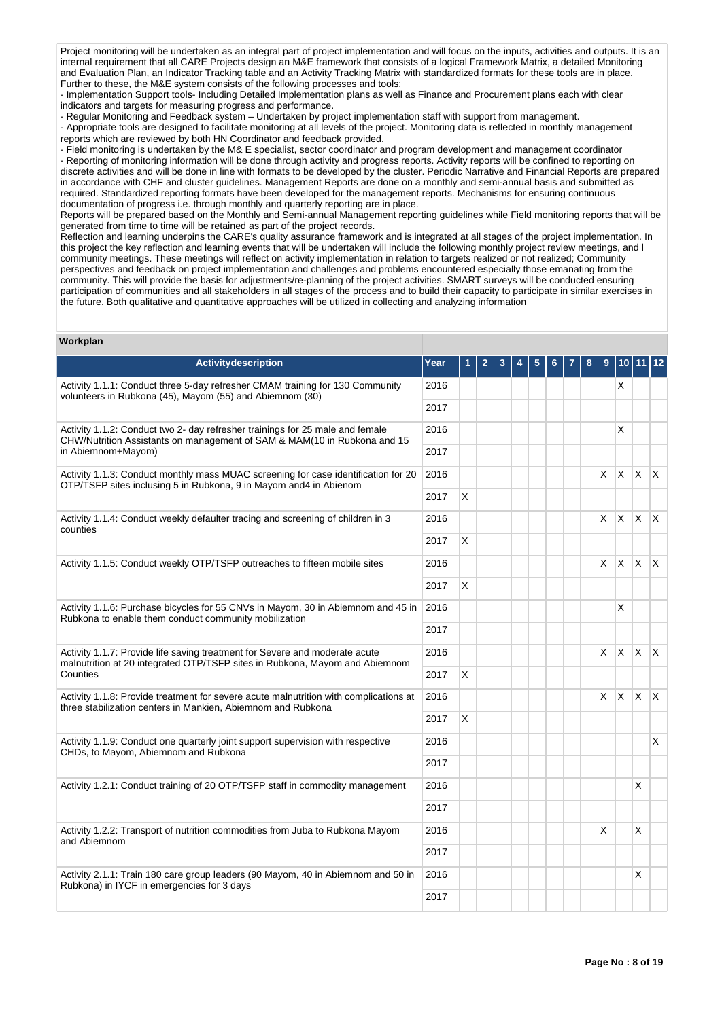Project monitoring will be undertaken as an integral part of project implementation and will focus on the inputs, activities and outputs. It is an internal requirement that all CARE Projects design an M&E framework that consists of a logical Framework Matrix, a detailed Monitoring and Evaluation Plan, an Indicator Tracking table and an Activity Tracking Matrix with standardized formats for these tools are in place. Further to these, the M&E system consists of the following processes and tools:

- Implementation Support tools- Including Detailed Implementation plans as well as Finance and Procurement plans each with clear indicators and targets for measuring progress and performance.

- Regular Monitoring and Feedback system – Undertaken by project implementation staff with support from management.

- Appropriate tools are designed to facilitate monitoring at all levels of the project. Monitoring data is reflected in monthly management reports which are reviewed by both HN Coordinator and feedback provided.

- Field monitoring is undertaken by the M& E specialist, sector coordinator and program development and management coordinator

- Reporting of monitoring information will be done through activity and progress reports. Activity reports will be confined to reporting on discrete activities and will be done in line with formats to be developed by the cluster. Periodic Narrative and Financial Reports are prepared in accordance with CHF and cluster guidelines. Management Reports are done on a monthly and semi-annual basis and submitted as required. Standardized reporting formats have been developed for the management reports. Mechanisms for ensuring continuous documentation of progress i.e. through monthly and quarterly reporting are in place.

Reports will be prepared based on the Monthly and Semi-annual Management reporting guidelines while Field monitoring reports that will be generated from time to time will be retained as part of the project records.

Reflection and learning underpins the CARE's quality assurance framework and is integrated at all stages of the project implementation. In this project the key reflection and learning events that will be undertaken will include the following monthly project review meetings, and l community meetings. These meetings will reflect on activity implementation in relation to targets realized or not realized; Community perspectives and feedback on project implementation and challenges and problems encountered especially those emanating from the community. This will provide the basis for adjustments/re-planning of the project activities. SMART surveys will be conducted ensuring participation of communities and all stakeholders in all stages of the process and to build their capacity to participate in similar exercises in the future. Both qualitative and quantitative approaches will be utilized in collecting and analyzing information

## **Workplan**

| <b>Activitydescription</b>                                                                                                                                 | Year |   |  | 3 |  |  |  |  |   |              |                         |              |  |
|------------------------------------------------------------------------------------------------------------------------------------------------------------|------|---|--|---|--|--|--|--|---|--------------|-------------------------|--------------|--|
| Activity 1.1.1: Conduct three 5-day refresher CMAM training for 130 Community<br>volunteers in Rubkona (45), Mayom (55) and Abiemnom (30)                  | 2016 |   |  |   |  |  |  |  |   | X.           |                         |              |  |
|                                                                                                                                                            | 2017 |   |  |   |  |  |  |  |   |              |                         |              |  |
| Activity 1.1.2: Conduct two 2- day refresher trainings for 25 male and female<br>CHW/Nutrition Assistants on management of SAM & MAM(10 in Rubkona and 15  | 2016 |   |  |   |  |  |  |  |   | X            |                         |              |  |
| in Abiemnom+Mayom)                                                                                                                                         | 2017 |   |  |   |  |  |  |  |   |              |                         |              |  |
| Activity 1.1.3: Conduct monthly mass MUAC screening for case identification for 20<br>OTP/TSFP sites inclusing 5 in Rubkona, 9 in Mayom and4 in Abienom    | 2016 |   |  |   |  |  |  |  | X | X.           | $\mathsf{X}$            | $\mathsf{X}$ |  |
|                                                                                                                                                            | 2017 | X |  |   |  |  |  |  |   |              |                         |              |  |
| Activity 1.1.4: Conduct weekly defaulter tracing and screening of children in 3<br>counties                                                                | 2016 |   |  |   |  |  |  |  | X | X.           | $X$ $X$                 |              |  |
|                                                                                                                                                            | 2017 | X |  |   |  |  |  |  |   |              |                         |              |  |
| Activity 1.1.5: Conduct weekly OTP/TSFP outreaches to fifteen mobile sites                                                                                 | 2016 |   |  |   |  |  |  |  | X | ΙX.          | $\mathsf{X} \mathsf{X}$ |              |  |
|                                                                                                                                                            | 2017 | X |  |   |  |  |  |  |   |              |                         |              |  |
| Activity 1.1.6: Purchase bicycles for 55 CNVs in Mayom, 30 in Abiemnom and 45 in<br>Rubkona to enable them conduct community mobilization                  | 2016 |   |  |   |  |  |  |  |   | X            |                         |              |  |
|                                                                                                                                                            | 2017 |   |  |   |  |  |  |  |   |              |                         |              |  |
| Activity 1.1.7: Provide life saving treatment for Severe and moderate acute<br>malnutrition at 20 integrated OTP/TSFP sites in Rubkona, Mayom and Abiemnom | 2016 |   |  |   |  |  |  |  | X | $\mathsf{X}$ | $X$ $X$                 |              |  |
| Counties                                                                                                                                                   | 2017 | X |  |   |  |  |  |  |   |              |                         |              |  |
| Activity 1.1.8: Provide treatment for severe acute malnutrition with complications at<br>three stabilization centers in Mankien, Abiemnom and Rubkona      | 2016 |   |  |   |  |  |  |  | X | X.           | $\mathsf{X}$            | $\mathsf{X}$ |  |
|                                                                                                                                                            | 2017 | X |  |   |  |  |  |  |   |              |                         |              |  |
| Activity 1.1.9: Conduct one quarterly joint support supervision with respective<br>CHDs, to Mayom, Abiemnom and Rubkona                                    | 2016 |   |  |   |  |  |  |  |   |              |                         | X.           |  |
|                                                                                                                                                            | 2017 |   |  |   |  |  |  |  |   |              |                         |              |  |
| Activity 1.2.1: Conduct training of 20 OTP/TSFP staff in commodity management                                                                              | 2016 |   |  |   |  |  |  |  |   |              | X                       |              |  |
|                                                                                                                                                            | 2017 |   |  |   |  |  |  |  |   |              |                         |              |  |
| Activity 1.2.2: Transport of nutrition commodities from Juba to Rubkona Mayom<br>and Abiemnom                                                              | 2016 |   |  |   |  |  |  |  | X |              | X                       |              |  |
|                                                                                                                                                            | 2017 |   |  |   |  |  |  |  |   |              |                         |              |  |
| Activity 2.1.1: Train 180 care group leaders (90 Mayom, 40 in Abiemnom and 50 in<br>Rubkona) in IYCF in emergencies for 3 days                             | 2016 |   |  |   |  |  |  |  |   |              | X                       |              |  |
|                                                                                                                                                            | 2017 |   |  |   |  |  |  |  |   |              |                         |              |  |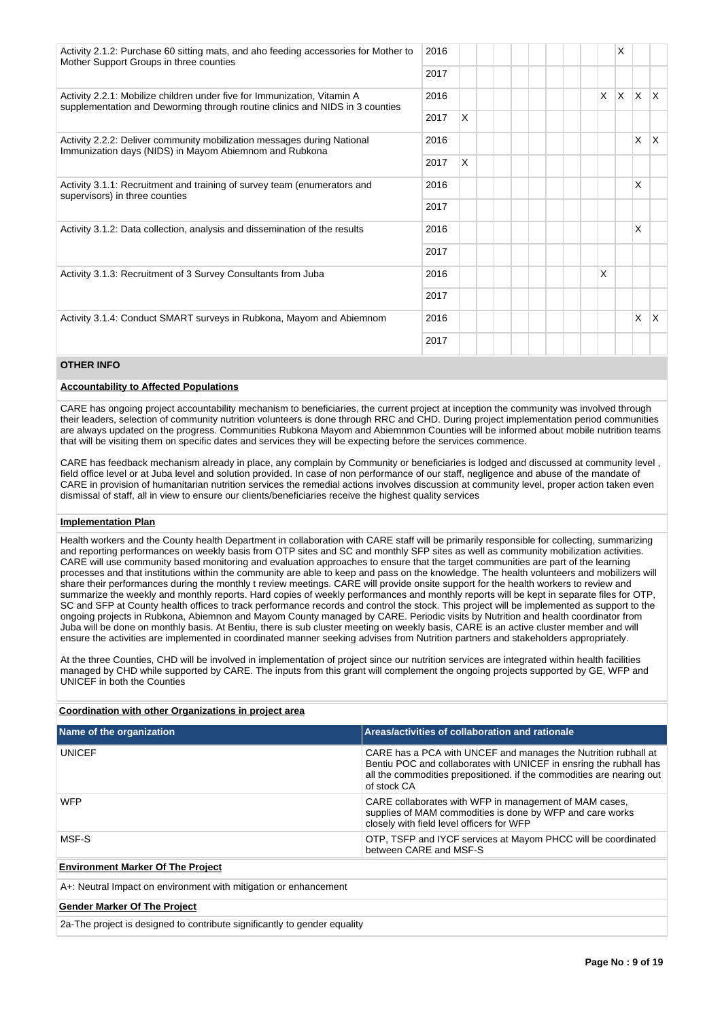| Activity 2.1.2: Purchase 60 sitting mats, and aho feeding accessories for Mother to<br>Mother Support Groups in three counties                           | 2016 |   |  |    | X   |    |    |
|----------------------------------------------------------------------------------------------------------------------------------------------------------|------|---|--|----|-----|----|----|
|                                                                                                                                                          | 2017 |   |  |    |     |    |    |
| Activity 2.2.1: Mobilize children under five for Immunization, Vitamin A<br>supplementation and Deworming through routine clinics and NIDS in 3 counties | 2016 |   |  | X. | ΙX. | X. | X. |
|                                                                                                                                                          | 2017 | X |  |    |     |    |    |
| Activity 2.2.2: Deliver community mobilization messages during National<br>Immunization days (NIDS) in Mayom Abiemnom and Rubkona                        | 2016 |   |  |    |     | X  | X. |
|                                                                                                                                                          | 2017 | X |  |    |     |    |    |
| Activity 3.1.1: Recruitment and training of survey team (enumerators and<br>supervisors) in three counties                                               |      |   |  |    |     | X  |    |
|                                                                                                                                                          | 2017 |   |  |    |     |    |    |
| Activity 3.1.2: Data collection, analysis and dissemination of the results                                                                               | 2016 |   |  |    |     | X  |    |
|                                                                                                                                                          | 2017 |   |  |    |     |    |    |
| Activity 3.1.3: Recruitment of 3 Survey Consultants from Juba                                                                                            | 2016 |   |  | X  |     |    |    |
|                                                                                                                                                          | 2017 |   |  |    |     |    |    |
| Activity 3.1.4: Conduct SMART surveys in Rubkona, Mayom and Abiemnom                                                                                     | 2016 |   |  |    |     | X  | X. |
|                                                                                                                                                          | 2017 |   |  |    |     |    |    |

## **OTHER INFO**

#### **Accountability to Affected Populations**

CARE has ongoing project accountability mechanism to beneficiaries, the current project at inception the community was involved through their leaders, selection of community nutrition volunteers is done through RRC and CHD. During project implementation period communities are always updated on the progress. Communities Rubkona Mayom and Abiemnmon Counties will be informed about mobile nutrition teams that will be visiting them on specific dates and services they will be expecting before the services commence.

CARE has feedback mechanism already in place, any complain by Community or beneficiaries is lodged and discussed at community level , field office level or at Juba level and solution provided. In case of non performance of our staff, negligence and abuse of the mandate of CARE in provision of humanitarian nutrition services the remedial actions involves discussion at community level, proper action taken even dismissal of staff, all in view to ensure our clients/beneficiaries receive the highest quality services

## **Implementation Plan**

Health workers and the County health Department in collaboration with CARE staff will be primarily responsible for collecting, summarizing and reporting performances on weekly basis from OTP sites and SC and monthly SFP sites as well as community mobilization activities. CARE will use community based monitoring and evaluation approaches to ensure that the target communities are part of the learning processes and that institutions within the community are able to keep and pass on the knowledge. The health volunteers and mobilizers will share their performances during the monthly t review meetings. CARE will provide onsite support for the health workers to review and summarize the weekly and monthly reports. Hard copies of weekly performances and monthly reports will be kept in separate files for OTP, SC and SFP at County health offices to track performance records and control the stock. This project will be implemented as support to the ongoing projects in Rubkona, Abiemnon and Mayom County managed by CARE. Periodic visits by Nutrition and health coordinator from Juba will be done on monthly basis. At Bentiu, there is sub cluster meeting on weekly basis, CARE is an active cluster member and will ensure the activities are implemented in coordinated manner seeking advises from Nutrition partners and stakeholders appropriately.

At the three Counties, CHD will be involved in implementation of project since our nutrition services are integrated within health facilities managed by CHD while supported by CARE. The inputs from this grant will complement the ongoing projects supported by GE, WFP and UNICEF in both the Counties

## **Coordination with other Organizations in project area**

| Name of the organization                                         | Areas/activities of collaboration and rationale                                                                                                                                                                              |
|------------------------------------------------------------------|------------------------------------------------------------------------------------------------------------------------------------------------------------------------------------------------------------------------------|
| <b>UNICEF</b>                                                    | CARE has a PCA with UNCEF and manages the Nutrition rubhall at<br>Bentiu POC and collaborates with UNICEF in ensring the rubhall has<br>all the commodities prepositioned. if the commodities are nearing out<br>of stock CA |
| <b>WFP</b>                                                       | CARE collaborates with WFP in management of MAM cases,<br>supplies of MAM commodities is done by WFP and care works<br>closely with field level officers for WFP                                                             |
| MSF-S                                                            | OTP, TSFP and IYCF services at Mayom PHCC will be coordinated<br>between CARE and MSF-S                                                                                                                                      |
| <b>Environment Marker Of The Project</b>                         |                                                                                                                                                                                                                              |
| A+: Neutral Impact on environment with mitigation or enhancement |                                                                                                                                                                                                                              |
| <b>Gender Marker Of The Project</b>                              |                                                                                                                                                                                                                              |

2a-The project is designed to contribute significantly to gender equality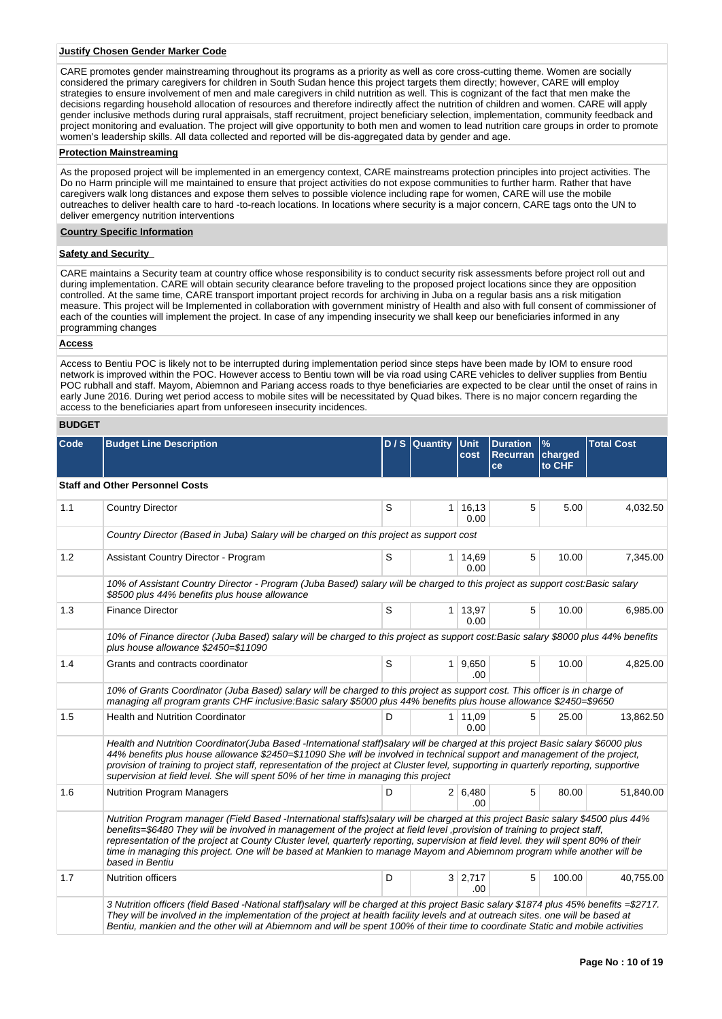#### **Justify Chosen Gender Marker Code**

CARE promotes gender mainstreaming throughout its programs as a priority as well as core cross-cutting theme. Women are socially considered the primary caregivers for children in South Sudan hence this project targets them directly; however, CARE will employ strategies to ensure involvement of men and male caregivers in child nutrition as well. This is cognizant of the fact that men make the decisions regarding household allocation of resources and therefore indirectly affect the nutrition of children and women. CARE will apply gender inclusive methods during rural appraisals, staff recruitment, project beneficiary selection, implementation, community feedback and project monitoring and evaluation. The project will give opportunity to both men and women to lead nutrition care groups in order to promote women's leadership skills. All data collected and reported will be dis-aggregated data by gender and age.

## **Protection Mainstreaming**

As the proposed project will be implemented in an emergency context, CARE mainstreams protection principles into project activities. The Do no Harm principle will me maintained to ensure that project activities do not expose communities to further harm. Rather that have caregivers walk long distances and expose them selves to possible violence including rape for women, CARE will use the mobile outreaches to deliver health care to hard -to-reach locations. In locations where security is a major concern, CARE tags onto the UN to deliver emergency nutrition interventions

#### **Country Specific Information**

## **Safety and Security**

CARE maintains a Security team at country office whose responsibility is to conduct security risk assessments before project roll out and during implementation. CARE will obtain security clearance before traveling to the proposed project locations since they are opposition controlled. At the same time, CARE transport important project records for archiving in Juba on a regular basis ans a risk mitigation measure. This project will be Implemented in collaboration with government ministry of Health and also with full consent of commissioner of each of the counties will implement the project. In case of any impending insecurity we shall keep our beneficiaries informed in any programming changes

## **Access**

Access to Bentiu POC is likely not to be interrupted during implementation period since steps have been made by IOM to ensure rood network is improved within the POC. However access to Bentiu town will be via road using CARE vehicles to deliver supplies from Bentiu POC rubhall and staff. Mayom, Abiemnon and Pariang access roads to thye beneficiaries are expected to be clear until the onset of rains in early June 2016. During wet period access to mobile sites will be necessitated by Quad bikes. There is no major concern regarding the access to the beneficiaries apart from unforeseen insecurity incidences.

## **BUDGET**

| Code | <b>Budget Line Description</b>                                                                                                                                                                                                                                                                                                                                                                                                                                                                                                                       |   | D / S Quantity | Unit<br>cost            | <b>Duration</b><br>Recurran<br>ce | $\frac{9}{6}$<br>charged<br>to CHF | <b>Total Cost</b> |
|------|------------------------------------------------------------------------------------------------------------------------------------------------------------------------------------------------------------------------------------------------------------------------------------------------------------------------------------------------------------------------------------------------------------------------------------------------------------------------------------------------------------------------------------------------------|---|----------------|-------------------------|-----------------------------------|------------------------------------|-------------------|
|      | <b>Staff and Other Personnel Costs</b>                                                                                                                                                                                                                                                                                                                                                                                                                                                                                                               |   |                |                         |                                   |                                    |                   |
| 1.1  | <b>Country Director</b>                                                                                                                                                                                                                                                                                                                                                                                                                                                                                                                              | S |                | $1 \mid 16, 13$<br>0.00 | 5                                 | 5.00                               | 4,032.50          |
|      | Country Director (Based in Juba) Salary will be charged on this project as support cost                                                                                                                                                                                                                                                                                                                                                                                                                                                              |   |                |                         |                                   |                                    |                   |
| 1.2  | <b>Assistant Country Director - Program</b>                                                                                                                                                                                                                                                                                                                                                                                                                                                                                                          | S |                | $1 \mid 14,69$<br>0.00  | 5                                 | 10.00                              | 7,345.00          |
|      | 10% of Assistant Country Director - Program (Juba Based) salary will be charged to this project as support cost: Basic salary<br>\$8500 plus 44% benefits plus house allowance                                                                                                                                                                                                                                                                                                                                                                       |   |                |                         |                                   |                                    |                   |
| 1.3  | <b>Finance Director</b>                                                                                                                                                                                                                                                                                                                                                                                                                                                                                                                              | S |                | $1 \mid 13,97$<br>0.00  | 5                                 | 10.00                              | 6,985.00          |
|      | 10% of Finance director (Juba Based) salary will be charged to this project as support cost:Basic salary \$8000 plus 44% benefits<br>plus house allowance \$2450=\$11090                                                                                                                                                                                                                                                                                                                                                                             |   |                |                         |                                   |                                    |                   |
| 1.4  | Grants and contracts coordinator                                                                                                                                                                                                                                                                                                                                                                                                                                                                                                                     | S |                | 1   9,650<br>.00.       | 5                                 | 10.00                              | 4,825.00          |
|      | 10% of Grants Coordinator (Juba Based) salary will be charged to this project as support cost. This officer is in charge of<br>managing all program grants CHF inclusive:Basic salary \$5000 plus 44% benefits plus house allowance \$2450=\$9650                                                                                                                                                                                                                                                                                                    |   |                |                         |                                   |                                    |                   |
| 1.5  | <b>Health and Nutrition Coordinator</b>                                                                                                                                                                                                                                                                                                                                                                                                                                                                                                              | D |                | 1 11,09<br>0.00         | 5                                 | 25.00                              | 13,862.50         |
|      | Health and Nutrition Coordinator(Juba Based -International staff)salary will be charged at this project Basic salary \$6000 plus<br>44% benefits plus house allowance \$2450=\$11090 She will be involved in technical support and management of the project,<br>provision of training to project staff, representation of the project at Cluster level, supporting in quarterly reporting, supportive<br>supervision at field level. She will spent 50% of her time in managing this project                                                        |   |                |                         |                                   |                                    |                   |
| 1.6  | <b>Nutrition Program Managers</b>                                                                                                                                                                                                                                                                                                                                                                                                                                                                                                                    | D |                | 2 6,480<br>.00          | 5                                 | 80.00                              | 51,840.00         |
|      | Nutrition Program manager (Field Based -International staffs)salary will be charged at this project Basic salary \$4500 plus 44%<br>benefits=\$6480 They will be involved in management of the project at field level , provision of training to project staff,<br>representation of the project at County Cluster level, quarterly reporting, supervision at field level. they will spent 80% of their<br>time in managing this project. One will be based at Mankien to manage Mayom and Abiemnom program while another will be<br>based in Bentiu |   |                |                         |                                   |                                    |                   |
| 1.7  | <b>Nutrition officers</b>                                                                                                                                                                                                                                                                                                                                                                                                                                                                                                                            | D |                | $3 \mid 2,717$<br>.00.  | 5                                 | 100.00                             | 40,755.00         |
|      | 3 Nutrition officers (field Based -National staff)salary will be charged at this project Basic salary \$1874 plus 45% benefits =\$2717.<br>They will be involved in the implementation of the project at health facility levels and at outreach sites. one will be based at<br>Bentiu, mankien and the other will at Abiemnom and will be spent 100% of their time to coordinate Static and mobile activities                                                                                                                                        |   |                |                         |                                   |                                    |                   |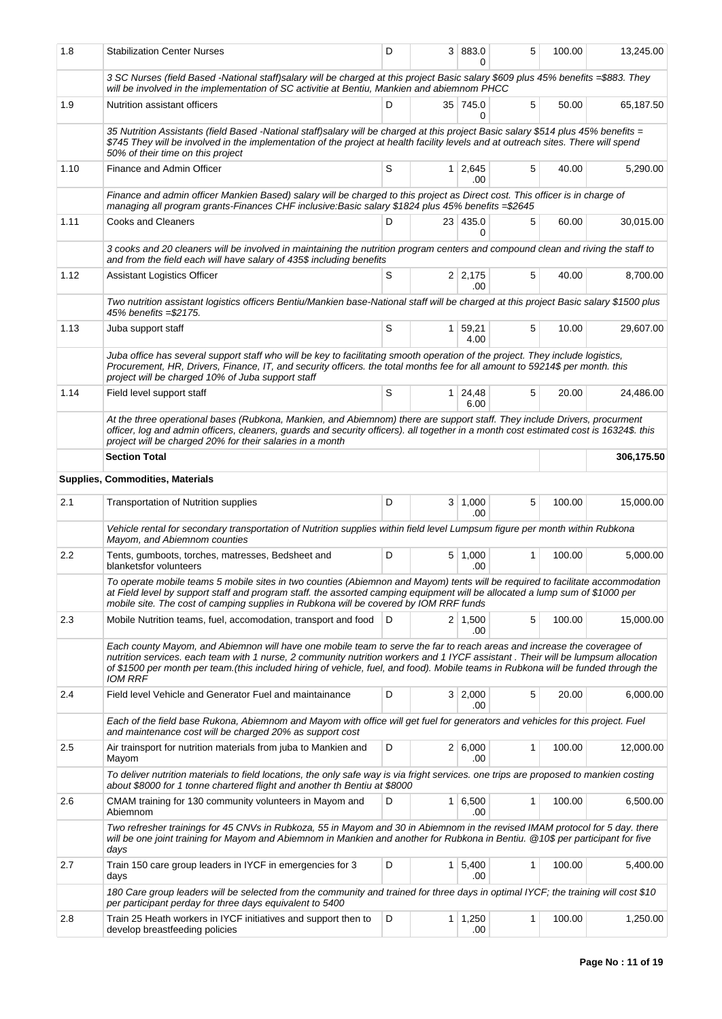| 1.8  | <b>Stabilization Center Nurses</b>                                                                                                                                                                                                                                                                                                                                                                                  |   |                | 3 883.0                | 5            | 100.00 | 13,245.00  |
|------|---------------------------------------------------------------------------------------------------------------------------------------------------------------------------------------------------------------------------------------------------------------------------------------------------------------------------------------------------------------------------------------------------------------------|---|----------------|------------------------|--------------|--------|------------|
|      | 3 SC Nurses (field Based -National staff)salary will be charged at this project Basic salary \$609 plus 45% benefits =\$883. They<br>will be involved in the implementation of SC activitie at Bentiu, Mankien and abiemnom PHCC                                                                                                                                                                                    |   |                |                        |              |        |            |
| 1.9  | Nutrition assistant officers                                                                                                                                                                                                                                                                                                                                                                                        | D |                | 35 745.0<br>0          | 5            | 50.00  | 65,187.50  |
|      | 35 Nutrition Assistants (field Based -National staff)salary will be charged at this project Basic salary \$514 plus 45% benefits =<br>\$745 They will be involved in the implementation of the project at health facility levels and at outreach sites. There will spend<br>50% of their time on this project                                                                                                       |   |                |                        |              |        |            |
| 1.10 | Finance and Admin Officer                                                                                                                                                                                                                                                                                                                                                                                           | S |                | 1 2,645<br>.00         | 5            | 40.00  | 5,290.00   |
|      | Finance and admin officer Mankien Based) salary will be charged to this project as Direct cost. This officer is in charge of<br>managing all program grants-Finances CHF inclusive: Basic salary \$1824 plus 45% benefits =\$2645                                                                                                                                                                                   |   |                |                        |              |        |            |
| 1.11 | <b>Cooks and Cleaners</b>                                                                                                                                                                                                                                                                                                                                                                                           | D |                | 23 435.0<br>0          | 5            | 60.00  | 30,015.00  |
|      | 3 cooks and 20 cleaners will be involved in maintaining the nutrition program centers and compound clean and riving the staff to<br>and from the field each will have salary of 435\$ including benefits                                                                                                                                                                                                            |   |                |                        |              |        |            |
| 1.12 | <b>Assistant Logistics Officer</b>                                                                                                                                                                                                                                                                                                                                                                                  | S |                | $2 \mid 2,175$<br>.00. | 5            | 40.00  | 8,700.00   |
|      | Two nutrition assistant logistics officers Bentiu/Mankien base-National staff will be charged at this project Basic salary \$1500 plus<br>45% benefits = \$2175.                                                                                                                                                                                                                                                    |   |                |                        |              |        |            |
| 1.13 | Juba support staff                                                                                                                                                                                                                                                                                                                                                                                                  | S | 1 <sup>1</sup> | 59,21<br>4.00          | 5            | 10.00  | 29,607.00  |
|      | Juba office has several support staff who will be key to facilitating smooth operation of the project. They include logistics,<br>Procurement, HR, Drivers, Finance, IT, and security officers, the total months fee for all amount to 59214\$ per month, this<br>project will be charged 10% of Juba support staff                                                                                                 |   |                |                        |              |        |            |
| 1.14 | Field level support staff                                                                                                                                                                                                                                                                                                                                                                                           | S |                | $1 \mid 24,48$<br>6.00 | 5            | 20.00  | 24,486.00  |
|      | At the three operational bases (Rubkona, Mankien, and Abiemnom) there are support staff. They include Drivers, procurment<br>officer, log and admin officers, cleaners, guards and security officers). all together in a month cost estimated cost is 16324\$. this<br>project will be charged 20% for their salaries in a month                                                                                    |   |                |                        |              |        |            |
|      | <b>Section Total</b>                                                                                                                                                                                                                                                                                                                                                                                                |   |                |                        |              |        | 306,175.50 |
|      | <b>Supplies, Commodities, Materials</b>                                                                                                                                                                                                                                                                                                                                                                             |   |                |                        |              |        |            |
| 2.1  | Transportation of Nutrition supplies                                                                                                                                                                                                                                                                                                                                                                                | D |                | 3   1,000<br>.00.      | 5            | 100.00 | 15,000.00  |
|      | Vehicle rental for secondary transportation of Nutrition supplies within field level Lumpsum figure per month within Rubkona<br>Mayom, and Abiemnom counties                                                                                                                                                                                                                                                        |   |                |                        |              |        |            |
| 2.2  | Tents, gumboots, torches, matresses, Bedsheet and<br>blanketsfor volunteers                                                                                                                                                                                                                                                                                                                                         | D |                | 5 1,000<br>.00         | $\mathbf{1}$ | 100.00 | 5,000.00   |
|      | To operate mobile teams 5 mobile sites in two counties (Abiemnon and Mayom) tents will be required to facilitate accommodation<br>at Field level by support staff and program staff. the assorted camping equipment will be allocated a lump sum of \$1000 per<br>mobile site. The cost of camping supplies in Rubkona will be covered by IOM RRF funds                                                             |   |                |                        |              |        |            |
| 2.3  | Mobile Nutrition teams, fuel, accomodation, transport and food                                                                                                                                                                                                                                                                                                                                                      | D |                | $2 \mid 1,500$<br>.00  | 5            | 100.00 | 15,000.00  |
|      | Each county Mayom, and Abiemnon will have one mobile team to serve the far to reach areas and increase the coveragee of<br>nutrition services. each team with 1 nurse, 2 community nutrition workers and 1 IYCF assistant. Their will be lumpsum allocation<br>of \$1500 per month per team.(this included hiring of vehicle, fuel, and food). Mobile teams in Rubkona will be funded through the<br><b>IOM RRF</b> |   |                |                        |              |        |            |
| 2.4  | Field level Vehicle and Generator Fuel and maintainance                                                                                                                                                                                                                                                                                                                                                             | D |                | 3 2,000<br>.00         | 5            | 20.00  | 6,000.00   |
|      | Each of the field base Rukona, Abiemnom and Mayom with office will get fuel for generators and vehicles for this project. Fuel<br>and maintenance cost will be charged 20% as support cost                                                                                                                                                                                                                          |   |                |                        |              |        |            |
| 2.5  | Air trainsport for nutrition materials from juba to Mankien and<br>Mayom                                                                                                                                                                                                                                                                                                                                            | D |                | 2 6,000<br>.00         | 1            | 100.00 | 12,000.00  |
|      | To deliver nutrition materials to field locations, the only safe way is via fright services. one trips are proposed to mankien costing<br>about \$8000 for 1 tonne chartered flight and another th Bentiu at \$8000                                                                                                                                                                                                 |   |                |                        |              |        |            |
| 2.6  | CMAM training for 130 community volunteers in Mayom and<br>Abiemnom                                                                                                                                                                                                                                                                                                                                                 | D |                | 1 6,500<br>.00         | 1            | 100.00 | 6,500.00   |
|      | Two refresher trainings for 45 CNVs in Rubkoza, 55 in Mayom and 30 in Abiemnom in the revised IMAM protocol for 5 day. there<br>will be one joint training for Mayom and Abiemnom in Mankien and another for Rubkona in Bentiu. @10\$ per participant for five<br>days                                                                                                                                              |   |                |                        |              |        |            |
| 2.7  | Train 150 care group leaders in IYCF in emergencies for 3<br>days                                                                                                                                                                                                                                                                                                                                                   | D |                | $1 \mid 5,400$<br>.00  | 1            | 100.00 | 5,400.00   |
|      | 180 Care group leaders will be selected from the community and trained for three days in optimal IYCF; the training will cost \$10<br>per participant perday for three days equivalent to 5400                                                                                                                                                                                                                      |   |                |                        |              |        |            |
| 2.8  | Train 25 Heath workers in IYCF initiatives and support then to<br>develop breastfeeding policies                                                                                                                                                                                                                                                                                                                    | D |                | $1 \mid 1,250$<br>.00  | 1            | 100.00 | 1,250.00   |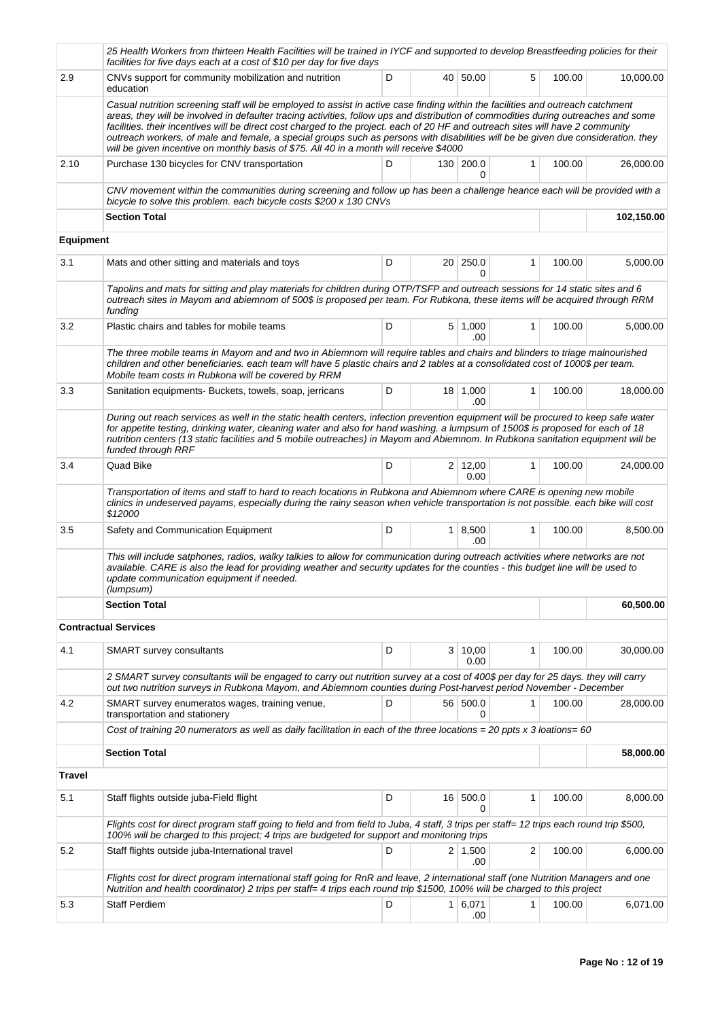|                  | 25 Health Workers from thirteen Health Facilities will be trained in IYCF and supported to develop Breastfeeding policies for their<br>facilities for five days each at a cost of \$10 per day for five days                                                                                                                                                                                                                                                                                                                                                                                                                              |   |   |                        |   |        |            |
|------------------|-------------------------------------------------------------------------------------------------------------------------------------------------------------------------------------------------------------------------------------------------------------------------------------------------------------------------------------------------------------------------------------------------------------------------------------------------------------------------------------------------------------------------------------------------------------------------------------------------------------------------------------------|---|---|------------------------|---|--------|------------|
| 2.9              | CNVs support for community mobilization and nutrition<br>education                                                                                                                                                                                                                                                                                                                                                                                                                                                                                                                                                                        | D |   | 40 50.00               | 5 | 100.00 | 10,000.00  |
|                  | Casual nutrition screening staff will be employed to assist in active case finding within the facilities and outreach catchment<br>areas, they will be involved in defaulter tracing activities, follow ups and distribution of commodities during outreaches and some<br>facilities. their incentives will be direct cost charged to the project. each of 20 HF and outreach sites will have 2 community<br>outreach workers, of male and female, a special groups such as persons with disabilities will be be given due consideration. they<br>will be given incentive on monthly basis of \$75. All 40 in a month will receive \$4000 |   |   |                        |   |        |            |
| 2.10             | Purchase 130 bicycles for CNV transportation<br>CNV movement within the communities during screening and follow up has been a challenge heance each will be provided with a                                                                                                                                                                                                                                                                                                                                                                                                                                                               | D |   | 130 200.0<br>0         | 1 | 100.00 | 26,000.00  |
|                  | bicycle to solve this problem. each bicycle costs \$200 x 130 CNVs                                                                                                                                                                                                                                                                                                                                                                                                                                                                                                                                                                        |   |   |                        |   |        |            |
|                  | <b>Section Total</b>                                                                                                                                                                                                                                                                                                                                                                                                                                                                                                                                                                                                                      |   |   |                        |   |        | 102,150.00 |
| <b>Equipment</b> |                                                                                                                                                                                                                                                                                                                                                                                                                                                                                                                                                                                                                                           |   |   |                        |   |        |            |
| 3.1              | Mats and other sitting and materials and toys                                                                                                                                                                                                                                                                                                                                                                                                                                                                                                                                                                                             | D |   | 20 250.0<br>0          | 1 | 100.00 | 5,000.00   |
|                  | Tapolins and mats for sitting and play materials for children during OTP/TSFP and outreach sessions for 14 static sites and 6<br>outreach sites in Mayom and abiemnom of 500\$ is proposed per team. For Rubkona, these items will be acquired through RRM<br>funding                                                                                                                                                                                                                                                                                                                                                                     |   |   |                        |   |        |            |
| $3.2\,$          | Plastic chairs and tables for mobile teams                                                                                                                                                                                                                                                                                                                                                                                                                                                                                                                                                                                                | D |   | $5 \mid 1,000$<br>.00  | 1 | 100.00 | 5,000.00   |
|                  | The three mobile teams in Mayom and and two in Abiemnom will require tables and chairs and blinders to triage malnourished<br>children and other beneficiaries. each team will have 5 plastic chairs and 2 tables at a consolidated cost of 1000\$ per team.<br>Mobile team costs in Rubkona will be covered by RRM                                                                                                                                                                                                                                                                                                                       |   |   |                        |   |        |            |
| 3.3              | Sanitation equipments- Buckets, towels, soap, jerricans                                                                                                                                                                                                                                                                                                                                                                                                                                                                                                                                                                                   | D |   | 18 1,000<br>.00.       | 1 | 100.00 | 18,000.00  |
|                  | During out reach services as well in the static health centers, infection prevention equipment will be procured to keep safe water<br>for appetite testing, drinking water, cleaning water and also for hand washing. a lumpsum of 1500\$ is proposed for each of 18<br>nutrition centers (13 static facilities and 5 mobile outreaches) in Mayom and Abiemnom. In Rubkona sanitation equipment will be<br>funded through RRF                                                                                                                                                                                                             |   |   |                        |   |        |            |
| 3.4              | Quad Bike                                                                                                                                                                                                                                                                                                                                                                                                                                                                                                                                                                                                                                 | D |   | $2 \mid 12,00$<br>0.00 | 1 | 100.00 | 24,000.00  |
|                  | Transportation of items and staff to hard to reach locations in Rubkona and Abiemnom where CARE is opening new mobile<br>clinics in undeserved payams, especially during the rainy season when vehicle transportation is not possible. each bike will cost<br>\$12000                                                                                                                                                                                                                                                                                                                                                                     |   |   |                        |   |        |            |
| 3.5              | Safety and Communication Equipment                                                                                                                                                                                                                                                                                                                                                                                                                                                                                                                                                                                                        | D |   | 1   8,500<br>.00       | 1 | 100.00 | 8,500.00   |
|                  | This will include satphones, radios, walky talkies to allow for communication during outreach activities where networks are not<br>available. CARE is also the lead for providing weather and security updates for the counties - this budget line will be used to<br>update communication equipment if needed.<br>(lumpsum)                                                                                                                                                                                                                                                                                                              |   |   |                        |   |        |            |
|                  | <b>Section Total</b>                                                                                                                                                                                                                                                                                                                                                                                                                                                                                                                                                                                                                      |   |   |                        |   |        | 60,500.00  |
|                  | <b>Contractual Services</b>                                                                                                                                                                                                                                                                                                                                                                                                                                                                                                                                                                                                               |   |   |                        |   |        |            |
| 4.1              | SMART survey consultants                                                                                                                                                                                                                                                                                                                                                                                                                                                                                                                                                                                                                  | D | 3 | 10,00 <br>0.00         | 1 | 100.00 | 30,000.00  |
|                  | 2 SMART survey consultants will be engaged to carry out nutrition survey at a cost of 400\$ per day for 25 days, they will carry<br>out two nutrition surveys in Rubkona Mayom, and Abiemnom counties during Post-harvest period November - December                                                                                                                                                                                                                                                                                                                                                                                      |   |   |                        |   |        |            |
| 4.2              | SMART survey enumeratos wages, training venue,<br>transportation and stationery                                                                                                                                                                                                                                                                                                                                                                                                                                                                                                                                                           | D |   | 56 500.0<br>0          | 1 | 100.00 | 28,000.00  |
|                  | Cost of training 20 numerators as well as daily facilitation in each of the three locations = 20 ppts x 3 loations= 60                                                                                                                                                                                                                                                                                                                                                                                                                                                                                                                    |   |   |                        |   |        |            |
|                  | <b>Section Total</b>                                                                                                                                                                                                                                                                                                                                                                                                                                                                                                                                                                                                                      |   |   |                        |   |        | 58,000.00  |
| <b>Travel</b>    |                                                                                                                                                                                                                                                                                                                                                                                                                                                                                                                                                                                                                                           |   |   |                        |   |        |            |
| 5.1              | Staff flights outside juba-Field flight                                                                                                                                                                                                                                                                                                                                                                                                                                                                                                                                                                                                   | D |   | 16 500.0<br>0          | 1 | 100.00 | 8,000.00   |
|                  | Flights cost for direct program staff going to field and from field to Juba, 4 staff, 3 trips per staff= 12 trips each round trip \$500,<br>100% will be charged to this project; 4 trips are budgeted for support and monitoring trips                                                                                                                                                                                                                                                                                                                                                                                                   |   |   |                        |   |        |            |
| 5.2              | Staff flights outside juba-International travel                                                                                                                                                                                                                                                                                                                                                                                                                                                                                                                                                                                           | D |   | $2 \mid 1,500$<br>.00  | 2 | 100.00 | 6,000.00   |
|                  | Flights cost for direct program international staff going for RnR and leave, 2 international staff (one Nutrition Managers and one<br>Nutrition and health coordinator) 2 trips per staff= 4 trips each round trip \$1500, 100% will be charged to this project                                                                                                                                                                                                                                                                                                                                                                           |   |   |                        |   |        |            |
| 5.3              | <b>Staff Perdiem</b>                                                                                                                                                                                                                                                                                                                                                                                                                                                                                                                                                                                                                      | D |   | 1   6,071<br>.00       | 1 | 100.00 | 6,071.00   |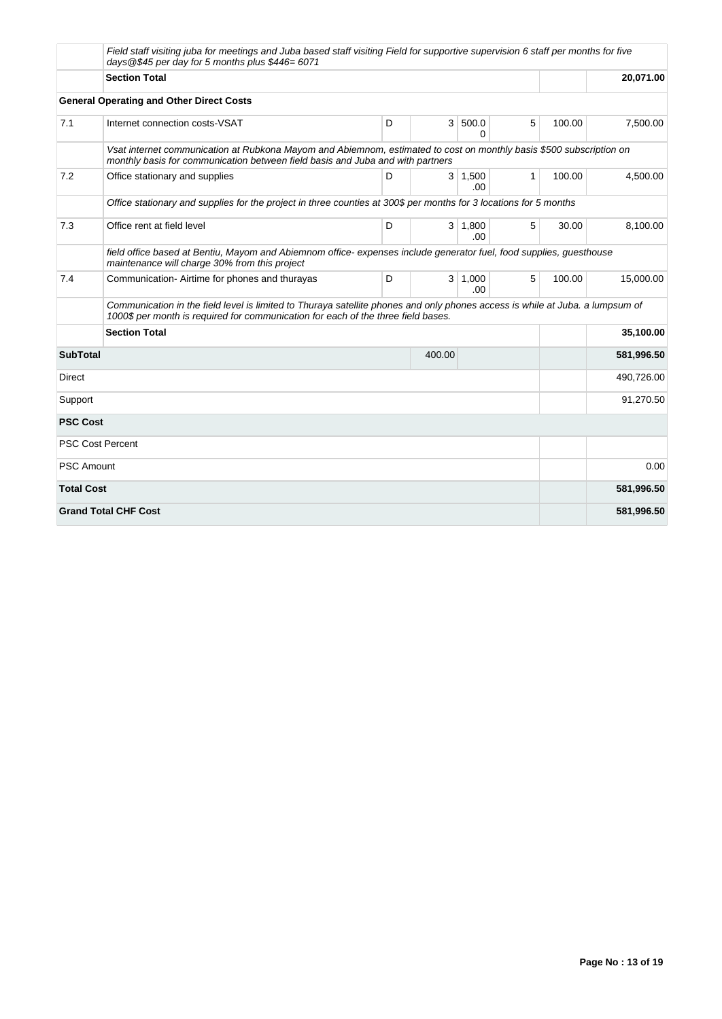|                   | Field staff visiting juba for meetings and Juba based staff visiting Field for supportive supervision 6 staff per months for five<br>days $@$45$ per day for 5 months plus $$446=6071$                             |       |          |                        |              |        |            |
|-------------------|--------------------------------------------------------------------------------------------------------------------------------------------------------------------------------------------------------------------|-------|----------|------------------------|--------------|--------|------------|
|                   | <b>Section Total</b>                                                                                                                                                                                               |       |          |                        |              |        | 20,071.00  |
|                   | <b>General Operating and Other Direct Costs</b>                                                                                                                                                                    |       |          |                        |              |        |            |
| 7.1               | Internet connection costs-VSAT                                                                                                                                                                                     | D     |          | 3   500.0<br>0         | 5            | 100.00 | 7,500.00   |
|                   | Vsat internet communication at Rubkona Mayom and Abiemnom, estimated to cost on monthly basis \$500 subscription on<br>monthly basis for communication between field basis and Juba and with partners              |       |          |                        |              |        |            |
| 7.2               | Office stationary and supplies                                                                                                                                                                                     | D     |          | $3 \mid 1,500$<br>.00. | $\mathbf{1}$ | 100.00 | 4.500.00   |
|                   | Office stationary and supplies for the project in three counties at 300\$ per months for 3 locations for 5 months                                                                                                  |       |          |                        |              |        |            |
| 7.3               | Office rent at field level                                                                                                                                                                                         | 30.00 | 8,100.00 |                        |              |        |            |
|                   | field office based at Bentiu, Mayom and Abiemnom office-expenses include generator fuel, food supplies, guesthouse<br>maintenance will charge 30% from this project                                                |       |          |                        |              |        |            |
| 7.4               | Communication-Airtime for phones and thurayas                                                                                                                                                                      | D     |          | $3 \mid 1,000$<br>.00. | 5            | 100.00 | 15,000.00  |
|                   | Communication in the field level is limited to Thuraya satellite phones and only phones access is while at Juba. a lumpsum of<br>1000\$ per month is required for communication for each of the three field bases. |       |          |                        |              |        |            |
|                   | <b>Section Total</b>                                                                                                                                                                                               |       |          |                        |              |        | 35,100.00  |
| <b>SubTotal</b>   |                                                                                                                                                                                                                    |       | 400.00   |                        |              |        | 581,996.50 |
| Direct            |                                                                                                                                                                                                                    |       |          |                        |              |        | 490,726.00 |
| Support           |                                                                                                                                                                                                                    |       |          | 91,270.50              |              |        |            |
| <b>PSC Cost</b>   |                                                                                                                                                                                                                    |       |          |                        |              |        |            |
|                   | <b>PSC Cost Percent</b>                                                                                                                                                                                            |       |          |                        |              |        |            |
| <b>PSC Amount</b> |                                                                                                                                                                                                                    |       |          |                        |              |        | 0.00       |
| <b>Total Cost</b> |                                                                                                                                                                                                                    |       |          |                        |              |        | 581,996.50 |
|                   | <b>Grand Total CHF Cost</b>                                                                                                                                                                                        |       |          |                        |              |        | 581,996.50 |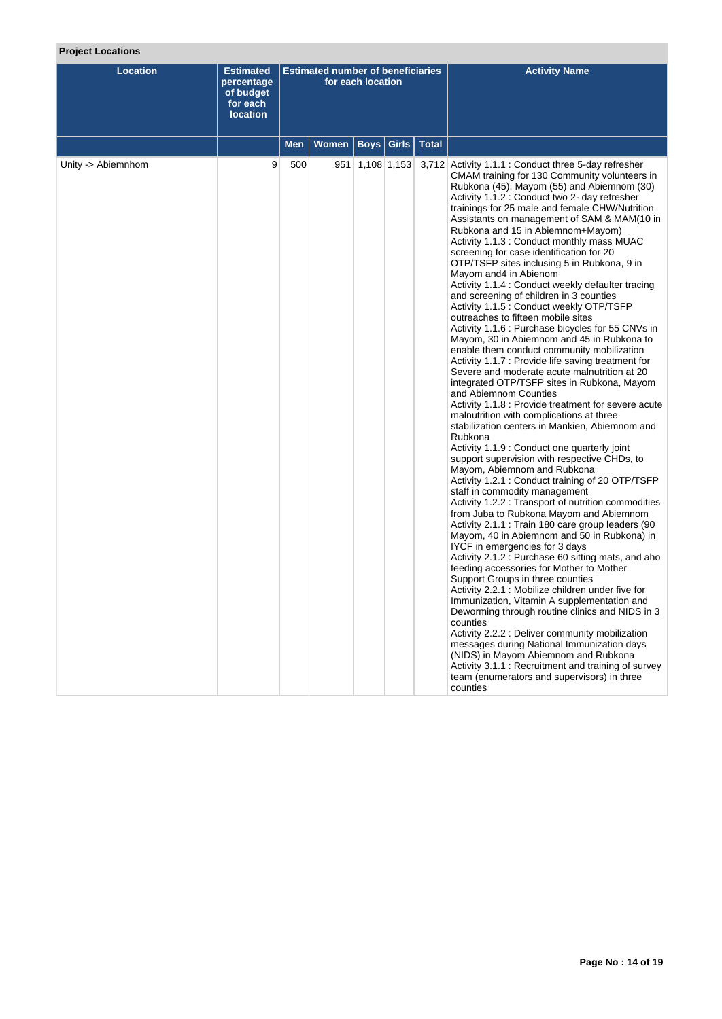## **Project Locations**

| <b>Location</b>    | <b>Estimated</b><br>percentage<br>of budget<br>for each<br><b>location</b> |            | <b>Estimated number of beneficiaries</b> | for each location |               | <b>Activity Name</b>                                                                                                                                                                                                                                                                                                                                                                                                                                                                                                                                                                                                                                                                                                                                                                                                                                                                                                                                                                                                                                                                                                                                                                                                                                                                                                                                                                                                                                                                                                                                                                                                                                                                                                                                                                                                                                                                                                                                                                                                                                                                                                                                                                                                         |
|--------------------|----------------------------------------------------------------------------|------------|------------------------------------------|-------------------|---------------|------------------------------------------------------------------------------------------------------------------------------------------------------------------------------------------------------------------------------------------------------------------------------------------------------------------------------------------------------------------------------------------------------------------------------------------------------------------------------------------------------------------------------------------------------------------------------------------------------------------------------------------------------------------------------------------------------------------------------------------------------------------------------------------------------------------------------------------------------------------------------------------------------------------------------------------------------------------------------------------------------------------------------------------------------------------------------------------------------------------------------------------------------------------------------------------------------------------------------------------------------------------------------------------------------------------------------------------------------------------------------------------------------------------------------------------------------------------------------------------------------------------------------------------------------------------------------------------------------------------------------------------------------------------------------------------------------------------------------------------------------------------------------------------------------------------------------------------------------------------------------------------------------------------------------------------------------------------------------------------------------------------------------------------------------------------------------------------------------------------------------------------------------------------------------------------------------------------------------|
|                    |                                                                            | <b>Men</b> | <b>Women</b>                             | <b>Boys</b>       | Girls   Total |                                                                                                                                                                                                                                                                                                                                                                                                                                                                                                                                                                                                                                                                                                                                                                                                                                                                                                                                                                                                                                                                                                                                                                                                                                                                                                                                                                                                                                                                                                                                                                                                                                                                                                                                                                                                                                                                                                                                                                                                                                                                                                                                                                                                                              |
| Unity -> Abiemnhom | 9                                                                          | 500        |                                          | 951 1,108 1,153   |               | 3,712 Activity 1.1.1 : Conduct three 5-day refresher<br>CMAM training for 130 Community volunteers in<br>Rubkona (45), Mayom (55) and Abiemnom (30)<br>Activity 1.1.2 : Conduct two 2- day refresher<br>trainings for 25 male and female CHW/Nutrition<br>Assistants on management of SAM & MAM(10 in<br>Rubkona and 15 in Abiemnom+Mayom)<br>Activity 1.1.3 : Conduct monthly mass MUAC<br>screening for case identification for 20<br>OTP/TSFP sites inclusing 5 in Rubkona, 9 in<br>Mayom and4 in Abienom<br>Activity 1.1.4 : Conduct weekly defaulter tracing<br>and screening of children in 3 counties<br>Activity 1.1.5 : Conduct weekly OTP/TSFP<br>outreaches to fifteen mobile sites<br>Activity 1.1.6 : Purchase bicycles for 55 CNVs in<br>Mayom, 30 in Abiemnom and 45 in Rubkona to<br>enable them conduct community mobilization<br>Activity 1.1.7 : Provide life saving treatment for<br>Severe and moderate acute malnutrition at 20<br>integrated OTP/TSFP sites in Rubkona, Mayom<br>and Abiemnom Counties<br>Activity 1.1.8 : Provide treatment for severe acute<br>malnutrition with complications at three<br>stabilization centers in Mankien, Abiemnom and<br>Rubkona<br>Activity 1.1.9 : Conduct one quarterly joint<br>support supervision with respective CHDs, to<br>Mayom, Abiemnom and Rubkona<br>Activity 1.2.1 : Conduct training of 20 OTP/TSFP<br>staff in commodity management<br>Activity 1.2.2 : Transport of nutrition commodities<br>from Juba to Rubkona Mayom and Abiemnom<br>Activity 2.1.1 : Train 180 care group leaders (90<br>Mayom, 40 in Abiemnom and 50 in Rubkona) in<br>IYCF in emergencies for 3 days<br>Activity 2.1.2 : Purchase 60 sitting mats, and aho<br>feeding accessories for Mother to Mother<br>Support Groups in three counties<br>Activity 2.2.1 : Mobilize children under five for<br>Immunization, Vitamin A supplementation and<br>Deworming through routine clinics and NIDS in 3<br>counties<br>Activity 2.2.2 : Deliver community mobilization<br>messages during National Immunization days<br>(NIDS) in Mayom Abiemnom and Rubkona<br>Activity 3.1.1: Recruitment and training of survey<br>team (enumerators and supervisors) in three<br>counties |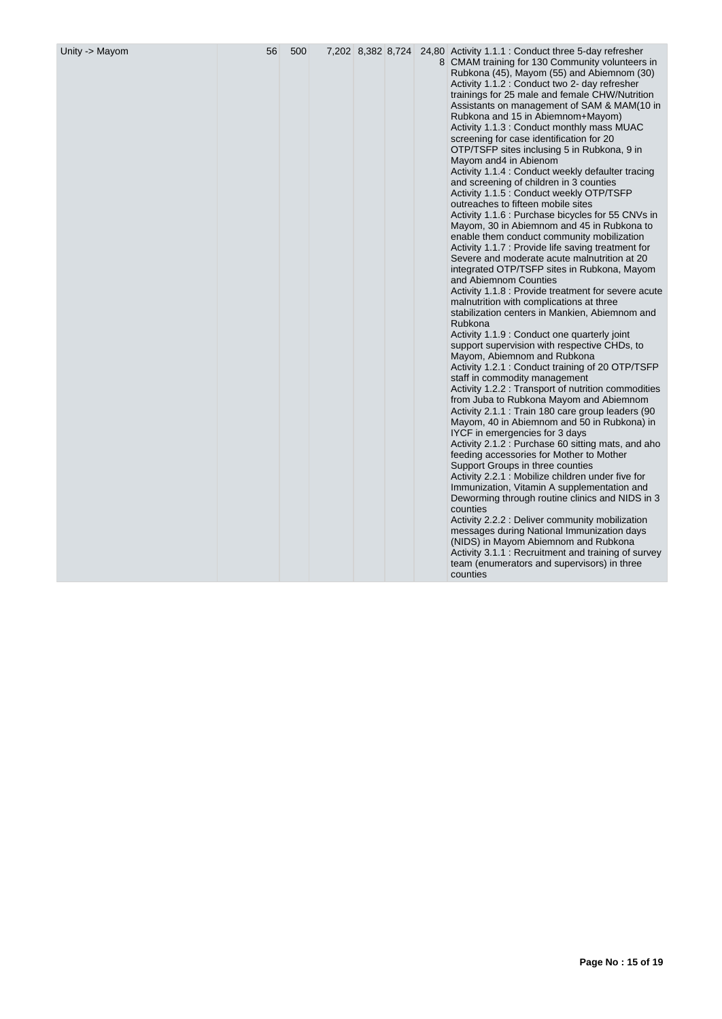| Unity -> Mayom | 56 | 500 |  |  |  |  | 7,202 8,382 8,724 24,80 Activity 1.1.1 : Conduct three 5-day refresher<br>8 CMAM training for 130 Community volunteers in<br>Rubkona (45), Mayom (55) and Abiemnom (30)<br>Activity 1.1.2 : Conduct two 2- day refresher<br>trainings for 25 male and female CHW/Nutrition<br>Assistants on management of SAM & MAM(10 in<br>Rubkona and 15 in Abiemnom+Mayom)<br>Activity 1.1.3 : Conduct monthly mass MUAC<br>screening for case identification for 20<br>OTP/TSFP sites inclusing 5 in Rubkona, 9 in<br>Mayom and 4 in Abienom<br>Activity 1.1.4 : Conduct weekly defaulter tracing<br>and screening of children in 3 counties<br>Activity 1.1.5 : Conduct weekly OTP/TSFP<br>outreaches to fifteen mobile sites<br>Activity 1.1.6 : Purchase bicycles for 55 CNVs in<br>Mayom, 30 in Abiemnom and 45 in Rubkona to<br>enable them conduct community mobilization<br>Activity 1.1.7 : Provide life saving treatment for<br>Severe and moderate acute malnutrition at 20<br>integrated OTP/TSFP sites in Rubkona, Mayom<br>and Abiemnom Counties<br>Activity 1.1.8 : Provide treatment for severe acute<br>malnutrition with complications at three<br>stabilization centers in Mankien, Abiemnom and<br>Rubkona<br>Activity 1.1.9 : Conduct one quarterly joint<br>support supervision with respective CHDs, to<br>Mayom, Abiemnom and Rubkona<br>Activity 1.2.1 : Conduct training of 20 OTP/TSFP<br>staff in commodity management<br>Activity 1.2.2 : Transport of nutrition commodities<br>from Juba to Rubkona Mayom and Abiemnom<br>Activity 2.1.1 : Train 180 care group leaders (90<br>Mayom, 40 in Abiemnom and 50 in Rubkona) in<br>IYCF in emergencies for 3 days<br>Activity 2.1.2 : Purchase 60 sitting mats, and aho<br>feeding accessories for Mother to Mother<br>Support Groups in three counties<br>Activity 2.2.1 : Mobilize children under five for<br>Immunization, Vitamin A supplementation and<br>Deworming through routine clinics and NIDS in 3<br>counties<br>Activity 2.2.2 : Deliver community mobilization<br>messages during National Immunization days<br>(NIDS) in Mayom Abiemnom and Rubkona<br>Activity 3.1.1 : Recruitment and training of survey<br>team (enumerators and supervisors) in three<br>counties |
|----------------|----|-----|--|--|--|--|----------------------------------------------------------------------------------------------------------------------------------------------------------------------------------------------------------------------------------------------------------------------------------------------------------------------------------------------------------------------------------------------------------------------------------------------------------------------------------------------------------------------------------------------------------------------------------------------------------------------------------------------------------------------------------------------------------------------------------------------------------------------------------------------------------------------------------------------------------------------------------------------------------------------------------------------------------------------------------------------------------------------------------------------------------------------------------------------------------------------------------------------------------------------------------------------------------------------------------------------------------------------------------------------------------------------------------------------------------------------------------------------------------------------------------------------------------------------------------------------------------------------------------------------------------------------------------------------------------------------------------------------------------------------------------------------------------------------------------------------------------------------------------------------------------------------------------------------------------------------------------------------------------------------------------------------------------------------------------------------------------------------------------------------------------------------------------------------------------------------------------------------------------------------------------------------------------------------------------------------------|
|----------------|----|-----|--|--|--|--|----------------------------------------------------------------------------------------------------------------------------------------------------------------------------------------------------------------------------------------------------------------------------------------------------------------------------------------------------------------------------------------------------------------------------------------------------------------------------------------------------------------------------------------------------------------------------------------------------------------------------------------------------------------------------------------------------------------------------------------------------------------------------------------------------------------------------------------------------------------------------------------------------------------------------------------------------------------------------------------------------------------------------------------------------------------------------------------------------------------------------------------------------------------------------------------------------------------------------------------------------------------------------------------------------------------------------------------------------------------------------------------------------------------------------------------------------------------------------------------------------------------------------------------------------------------------------------------------------------------------------------------------------------------------------------------------------------------------------------------------------------------------------------------------------------------------------------------------------------------------------------------------------------------------------------------------------------------------------------------------------------------------------------------------------------------------------------------------------------------------------------------------------------------------------------------------------------------------------------------------------|